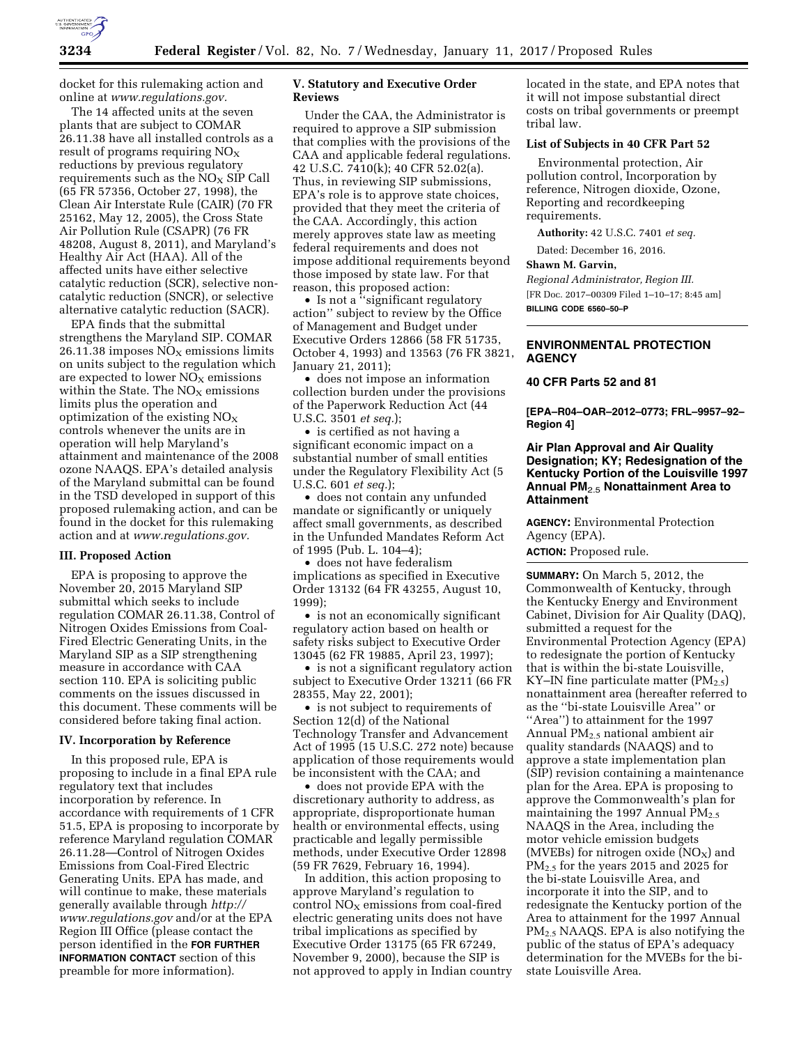

docket for this rulemaking action and online at *[www.regulations.gov.](http://www.regulations.gov)* 

The 14 affected units at the seven plants that are subject to COMAR 26.11.38 have all installed controls as a result of programs requiring  $NO<sub>x</sub>$ reductions by previous regulatory requirements such as the  $NO<sub>x</sub>$  SIP Call (65 FR 57356, October 27, 1998), the Clean Air Interstate Rule (CAIR) (70 FR 25162, May 12, 2005), the Cross State Air Pollution Rule (CSAPR) (76 FR 48208, August 8, 2011), and Maryland's Healthy Air Act (HAA). All of the affected units have either selective catalytic reduction (SCR), selective noncatalytic reduction (SNCR), or selective alternative catalytic reduction (SACR).

EPA finds that the submittal strengthens the Maryland SIP. COMAR 26.11.38 imposes  $NO<sub>X</sub>$  emissions limits on units subject to the regulation which are expected to lower  $NO<sub>x</sub>$  emissions within the State. The  $NO<sub>x</sub>$  emissions limits plus the operation and optimization of the existing  $NO<sub>x</sub>$ controls whenever the units are in operation will help Maryland's attainment and maintenance of the 2008 ozone NAAQS. EPA's detailed analysis of the Maryland submittal can be found in the TSD developed in support of this proposed rulemaking action, and can be found in the docket for this rulemaking action and at *[www.regulations.gov.](http://www.regulations.gov)* 

#### **III. Proposed Action**

EPA is proposing to approve the November 20, 2015 Maryland SIP submittal which seeks to include regulation COMAR 26.11.38, Control of Nitrogen Oxides Emissions from Coal-Fired Electric Generating Units, in the Maryland SIP as a SIP strengthening measure in accordance with CAA section 110. EPA is soliciting public comments on the issues discussed in this document. These comments will be considered before taking final action.

### **IV. Incorporation by Reference**

In this proposed rule, EPA is proposing to include in a final EPA rule regulatory text that includes incorporation by reference. In accordance with requirements of 1 CFR 51.5, EPA is proposing to incorporate by reference Maryland regulation COMAR 26.11.28—Control of Nitrogen Oxides Emissions from Coal-Fired Electric Generating Units. EPA has made, and will continue to make, these materials generally available through *[http://](http://www.regulations.gov) [www.regulations.gov](http://www.regulations.gov)* and/or at the EPA Region III Office (please contact the person identified in the **FOR FURTHER INFORMATION CONTACT** section of this preamble for more information).

## **V. Statutory and Executive Order Reviews**

Under the CAA, the Administrator is required to approve a SIP submission that complies with the provisions of the CAA and applicable federal regulations. 42 U.S.C. 7410(k); 40 CFR 52.02(a). Thus, in reviewing SIP submissions, EPA's role is to approve state choices, provided that they meet the criteria of the CAA. Accordingly, this action merely approves state law as meeting federal requirements and does not impose additional requirements beyond those imposed by state law. For that reason, this proposed action:

• Is not a "significant regulatory action'' subject to review by the Office of Management and Budget under Executive Orders 12866 (58 FR 51735, October 4, 1993) and 13563 (76 FR 3821, January 21, 2011);

• does not impose an information collection burden under the provisions of the Paperwork Reduction Act (44 U.S.C. 3501 *et seq.*);

• is certified as not having a significant economic impact on a substantial number of small entities under the Regulatory Flexibility Act (5 U.S.C. 601 *et seq.*);

• does not contain any unfunded mandate or significantly or uniquely affect small governments, as described in the Unfunded Mandates Reform Act of 1995 (Pub. L. 104–4);

• does not have federalism implications as specified in Executive Order 13132 (64 FR 43255, August 10, 1999);

• is not an economically significant regulatory action based on health or safety risks subject to Executive Order 13045 (62 FR 19885, April 23, 1997);

• is not a significant regulatory action subject to Executive Order 13211 (66 FR 28355, May 22, 2001);

• is not subject to requirements of Section 12(d) of the National Technology Transfer and Advancement Act of 1995 (15 U.S.C. 272 note) because application of those requirements would be inconsistent with the CAA; and

• does not provide EPA with the discretionary authority to address, as appropriate, disproportionate human health or environmental effects, using practicable and legally permissible methods, under Executive Order 12898 (59 FR 7629, February 16, 1994).

In addition, this action proposing to approve Maryland's regulation to control  $NO<sub>x</sub>$  emissions from coal-fired electric generating units does not have tribal implications as specified by Executive Order 13175 (65 FR 67249, November 9, 2000), because the SIP is not approved to apply in Indian country located in the state, and EPA notes that it will not impose substantial direct costs on tribal governments or preempt tribal law.

# **List of Subjects in 40 CFR Part 52**

Environmental protection, Air pollution control, Incorporation by reference, Nitrogen dioxide, Ozone, Reporting and recordkeeping requirements.

**Authority:** 42 U.S.C. 7401 *et seq.* 

Dated: December 16, 2016.

### **Shawn M. Garvin,**

*Regional Administrator, Region III.*  [FR Doc. 2017–00309 Filed 1–10–17; 8:45 am] **BILLING CODE 6560–50–P** 

## **ENVIRONMENTAL PROTECTION AGENCY**

### **40 CFR Parts 52 and 81**

**[EPA–R04–OAR–2012–0773; FRL–9957–92– Region 4]** 

## **Air Plan Approval and Air Quality Designation; KY; Redesignation of the Kentucky Portion of the Louisville 1997 Annual PM**2.5 **Nonattainment Area to Attainment**

**AGENCY:** Environmental Protection Agency (EPA).

**ACTION:** Proposed rule.

**SUMMARY:** On March 5, 2012, the Commonwealth of Kentucky, through the Kentucky Energy and Environment Cabinet, Division for Air Quality (DAQ), submitted a request for the Environmental Protection Agency (EPA) to redesignate the portion of Kentucky that is within the bi-state Louisville, KY–IN fine particulate matter  $(PM_{2.5})$ nonattainment area (hereafter referred to as the ''bi-state Louisville Area'' or ''Area'') to attainment for the 1997 Annual PM2.5 national ambient air quality standards (NAAQS) and to approve a state implementation plan (SIP) revision containing a maintenance plan for the Area. EPA is proposing to approve the Commonwealth's plan for maintaining the 1997 Annual PM<sub>2.5</sub> NAAQS in the Area, including the motor vehicle emission budgets (MVEBs) for nitrogen oxide  $(NO<sub>X</sub>)$  and  $PM_{2.5}$  for the years 2015 and 2025 for the bi-state Louisville Area, and incorporate it into the SIP, and to redesignate the Kentucky portion of the Area to attainment for the 1997 Annual PM2.5 NAAQS. EPA is also notifying the public of the status of EPA's adequacy determination for the MVEBs for the bistate Louisville Area.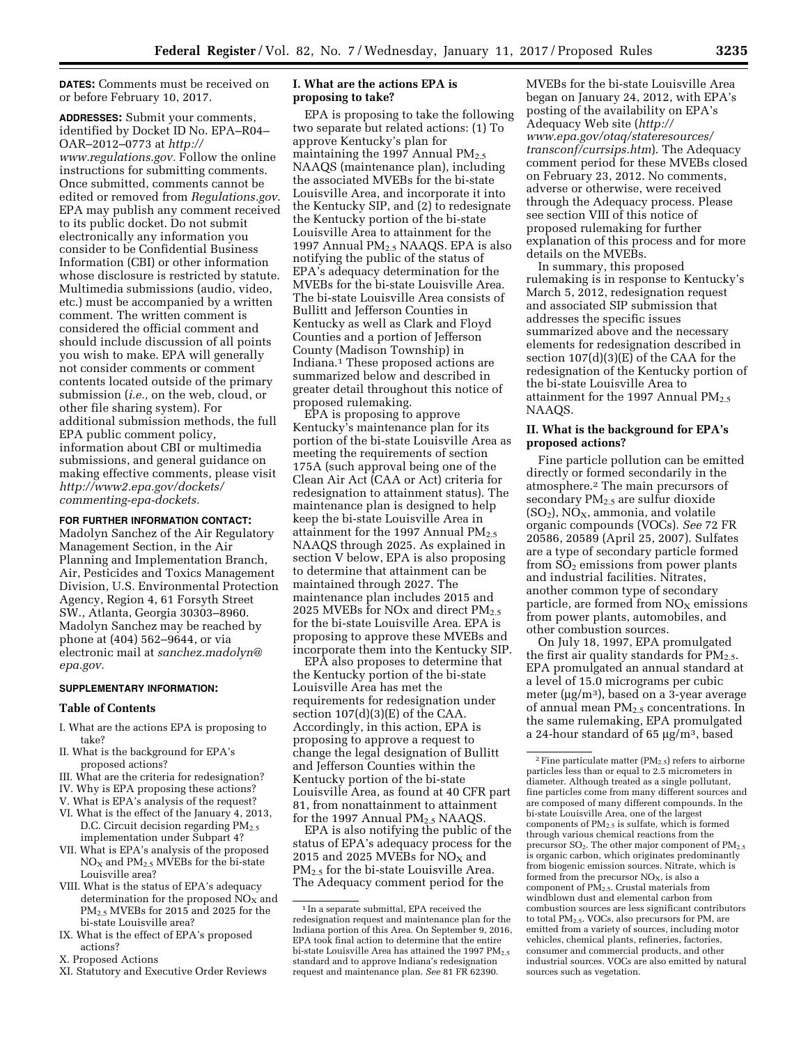**DATES:** Comments must be received on or before February 10, 2017.

**ADDRESSES:** Submit your comments, identified by Docket ID No. EPA–R04– OAR–2012–0773 at *[http://](http://www.regulations.gov) [www.regulations.gov.](http://www.regulations.gov)* Follow the online instructions for submitting comments. Once submitted, comments cannot be edited or removed from *Regulations.gov*. EPA may publish any comment received to its public docket. Do not submit electronically any information you consider to be Confidential Business Information (CBI) or other information whose disclosure is restricted by statute. Multimedia submissions (audio, video, etc.) must be accompanied by a written comment. The written comment is considered the official comment and should include discussion of all points you wish to make. EPA will generally not consider comments or comment contents located outside of the primary submission (*i.e.,* on the web, cloud, or other file sharing system). For additional submission methods, the full EPA public comment policy, information about CBI or multimedia submissions, and general guidance on making effective comments, please visit *[http://www2.epa.gov/dockets/](http://www2.epa.gov/dockets/commenting-epa-dockets)  [commenting-epa-dockets.](http://www2.epa.gov/dockets/commenting-epa-dockets)* 

## **FOR FURTHER INFORMATION CONTACT:**

Madolyn Sanchez of the Air Regulatory Management Section, in the Air Planning and Implementation Branch, Air, Pesticides and Toxics Management Division, U.S. Environmental Protection Agency, Region 4, 61 Forsyth Street SW., Atlanta, Georgia 30303–8960. Madolyn Sanchez may be reached by phone at (404) 562–9644, or via electronic mail at *[sanchez.madolyn@](mailto:sanchez.madolyn@epa.gov) [epa.gov.](mailto:sanchez.madolyn@epa.gov)* 

### **SUPPLEMENTARY INFORMATION:**

### **Table of Contents**

- I. What are the actions EPA is proposing to take?
- II. What is the background for EPA's proposed actions?
- III. What are the criteria for redesignation?
- IV. Why is EPA proposing these actions?
- V. What is EPA's analysis of the request?
- VI. What is the effect of the January 4, 2013, D.C. Circuit decision regarding  $PM<sub>2.5</sub>$ implementation under Subpart 4?
- VII. What is EPA's analysis of the proposed  $NO<sub>X</sub>$  and  $PM<sub>2.5</sub>$  MVEBs for the bi-state Louisville area?
- VIII. What is the status of EPA's adequacy determination for the proposed  $NO<sub>X</sub>$  and PM2.5 MVEBs for 2015 and 2025 for the bi-state Louisville area?
- IX. What is the effect of EPA's proposed actions?
- X. Proposed Actions
- XI. Statutory and Executive Order Reviews

## **I. What are the actions EPA is proposing to take?**

EPA is proposing to take the following two separate but related actions: (1) To approve Kentucky's plan for maintaining the 1997 Annual  $PM_{2.5}$ NAAQS (maintenance plan), including the associated MVEBs for the bi-state Louisville Area, and incorporate it into the Kentucky SIP, and (2) to redesignate the Kentucky portion of the bi-state Louisville Area to attainment for the 1997 Annual PM<sub>2.5</sub> NAAQS. EPA is also notifying the public of the status of EPA's adequacy determination for the MVEBs for the bi-state Louisville Area. The bi-state Louisville Area consists of Bullitt and Jefferson Counties in Kentucky as well as Clark and Floyd Counties and a portion of Jefferson County (Madison Township) in Indiana.1 These proposed actions are summarized below and described in greater detail throughout this notice of proposed rulemaking.

EPA is proposing to approve Kentucky's maintenance plan for its portion of the bi-state Louisville Area as meeting the requirements of section 175A (such approval being one of the Clean Air Act (CAA or Act) criteria for redesignation to attainment status). The maintenance plan is designed to help keep the bi-state Louisville Area in attainment for the 1997 Annual  $PM_{2.5}$ NAAQS through 2025. As explained in section V below, EPA is also proposing to determine that attainment can be maintained through 2027. The maintenance plan includes 2015 and 2025 MVEBs for NO<sub>x</sub> and direct  $PM_{2.5}$ for the bi-state Louisville Area. EPA is proposing to approve these MVEBs and incorporate them into the Kentucky SIP.

EPA also proposes to determine that the Kentucky portion of the bi-state Louisville Area has met the requirements for redesignation under section  $107(d)(3)(E)$  of the CAA. Accordingly, in this action, EPA is proposing to approve a request to change the legal designation of Bullitt and Jefferson Counties within the Kentucky portion of the bi-state Louisville Area, as found at 40 CFR part 81, from nonattainment to attainment for the 1997 Annual  $PM<sub>2.5</sub> NAAQS$ .

EPA is also notifying the public of the status of EPA's adequacy process for the 2015 and 2025 MVEBs for  $NO<sub>X</sub>$  and PM<sub>2.5</sub> for the bi-state Louisville Area. The Adequacy comment period for the

MVEBs for the bi-state Louisville Area began on January 24, 2012, with EPA's posting of the availability on EPA's Adequacy Web site (*[http://](http://www.epa.gov/otaq/stateresources/transconf/currsips.htm) [www.epa.gov/otaq/stateresources/](http://www.epa.gov/otaq/stateresources/transconf/currsips.htm)  [transconf/currsips.htm](http://www.epa.gov/otaq/stateresources/transconf/currsips.htm)*). The Adequacy comment period for these MVEBs closed on February 23, 2012. No comments, adverse or otherwise, were received through the Adequacy process. Please see section VIII of this notice of proposed rulemaking for further explanation of this process and for more details on the MVEBs.

In summary, this proposed rulemaking is in response to Kentucky's March 5, 2012, redesignation request and associated SIP submission that addresses the specific issues summarized above and the necessary elements for redesignation described in section 107(d)(3)(E) of the CAA for the redesignation of the Kentucky portion of the bi-state Louisville Area to attainment for the 1997 Annual  $PM_{2.5}$ NAAQS.

### **II. What is the background for EPA's proposed actions?**

Fine particle pollution can be emitted directly or formed secondarily in the atmosphere.2 The main precursors of secondary  $PM_{2.5}$  are sulfur dioxide  $(SO<sub>2</sub>)$ , NO<sub>X</sub>, ammonia, and volatile organic compounds (VOCs). *See* 72 FR 20586, 20589 (April 25, 2007). Sulfates are a type of secondary particle formed from  $\overline{SO}_2$  emissions from power plants and industrial facilities. Nitrates, another common type of secondary particle, are formed from  $NO<sub>x</sub>$  emissions from power plants, automobiles, and other combustion sources.

On July 18, 1997, EPA promulgated the first air quality standards for  $PM_{2.5}$ . EPA promulgated an annual standard at a level of 15.0 micrograms per cubic meter ( $\mu$ g/m<sup>3</sup>), based on a 3-year average of annual mean PM2.5 concentrations. In the same rulemaking, EPA promulgated a 24-hour standard of 65  $\mu$ g/m<sup>3</sup>, based

<sup>&</sup>lt;sup>1</sup> In a separate submittal, EPA received the redesignation request and maintenance plan for the Indiana portion of this Area. On September 9, 2016, EPA took final action to determine that the entire bi-state Louisville Area has attained the 1997  $PM_{2.5}$ standard and to approve Indiana's redesignation request and maintenance plan. *See* 81 FR 62390.

 $^2$  Fine particulate matter (PM $_{2.5}$ ) refers to airborne  $\,$ particles less than or equal to 2.5 micrometers in diameter. Although treated as a single pollutant, fine particles come from many different sources and are composed of many different compounds. In the bi-state Louisville Area, one of the largest components of PM2.5 is sulfate, which is formed through various chemical reactions from the precursor  $SO_2$ . The other major component of  $PM_{2.5}$ is organic carbon, which originates predominantly from biogenic emission sources. Nitrate, which is formed from the precursor  $NO<sub>x</sub>$ , is also a component of PM2.5. Crustal materials from windblown dust and elemental carbon from combustion sources are less significant contributors to total PM2.5. VOCs, also precursors for PM, are emitted from a variety of sources, including motor vehicles, chemical plants, refineries, factories, consumer and commercial products, and other industrial sources. VOCs are also emitted by natural sources such as vegetation.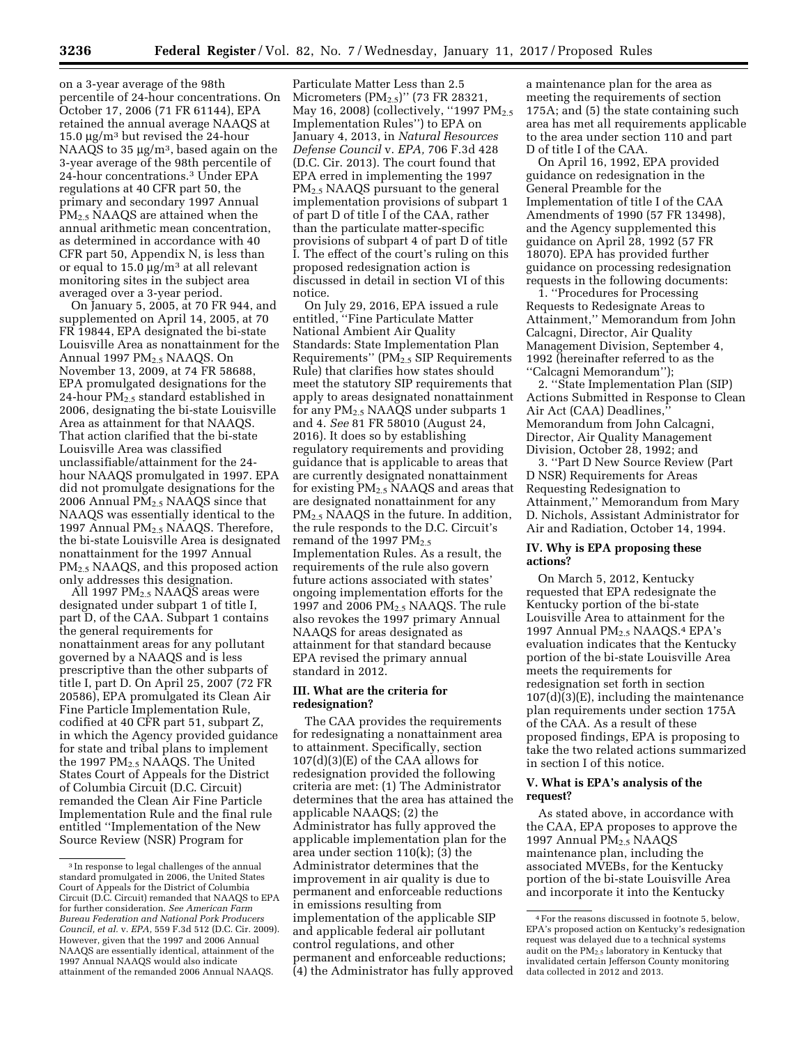on a 3-year average of the 98th percentile of 24-hour concentrations. On October 17, 2006 (71 FR 61144), EPA retained the annual average NAAQS at 15.0  $\mu$ g/m<sup>3</sup> but revised the 24-hour NAAQS to 35  $\mu$ g/m<sup>3</sup>, based again on the 3-year average of the 98th percentile of 24-hour concentrations.3 Under EPA regulations at 40 CFR part 50, the primary and secondary 1997 Annual PM2.5 NAAQS are attained when the annual arithmetic mean concentration, as determined in accordance with 40 CFR part 50, Appendix N, is less than or equal to  $15.0 \mu g/m^3$  at all relevant monitoring sites in the subject area averaged over a 3-year period.

On January 5, 2005, at 70 FR 944, and supplemented on April 14, 2005, at 70 FR 19844, EPA designated the bi-state Louisville Area as nonattainment for the Annual 1997  $PM<sub>2.5</sub> NAAQS$ . On November 13, 2009, at 74 FR 58688, EPA promulgated designations for the 24-hour  $PM_{2.5}$  standard established in 2006, designating the bi-state Louisville Area as attainment for that NAAQS. That action clarified that the bi-state Louisville Area was classified unclassifiable/attainment for the 24 hour NAAQS promulgated in 1997. EPA did not promulgate designations for the 2006 Annual PM2.5 NAAQS since that NAAQS was essentially identical to the 1997 Annual PM<sub>2.5</sub> NAAQS. Therefore, the bi-state Louisville Area is designated nonattainment for the 1997 Annual PM2.5 NAAQS, and this proposed action only addresses this designation.

All 1997 PM2.5 NAAQS areas were designated under subpart 1 of title I, part D, of the CAA. Subpart 1 contains the general requirements for nonattainment areas for any pollutant governed by a NAAQS and is less prescriptive than the other subparts of title I, part D. On April 25, 2007 (72 FR 20586), EPA promulgated its Clean Air Fine Particle Implementation Rule, codified at 40 CFR part 51, subpart Z, in which the Agency provided guidance for state and tribal plans to implement the 1997 PM2.5 NAAQS. The United States Court of Appeals for the District of Columbia Circuit (D.C. Circuit) remanded the Clean Air Fine Particle Implementation Rule and the final rule entitled ''Implementation of the New Source Review (NSR) Program for

Particulate Matter Less than 2.5 Micrometers  $(PM_{2.5})''$  (73 FR 28321, May 16, 2008) (collectively, "1997  $PM_{2.5}$ Implementation Rules'') to EPA on January 4, 2013, in *Natural Resources Defense Council* v. *EPA,* 706 F.3d 428 (D.C. Cir. 2013). The court found that EPA erred in implementing the 1997 PM<sub>2.5</sub> NAAQS pursuant to the general implementation provisions of subpart 1 of part D of title I of the CAA, rather than the particulate matter-specific provisions of subpart 4 of part D of title I. The effect of the court's ruling on this proposed redesignation action is discussed in detail in section VI of this notice.

On July 29, 2016, EPA issued a rule entitled, ''Fine Particulate Matter National Ambient Air Quality Standards: State Implementation Plan Requirements'' (PM2.5 SIP Requirements Rule) that clarifies how states should meet the statutory SIP requirements that apply to areas designated nonattainment for any PM2.5 NAAQS under subparts 1 and 4. *See* 81 FR 58010 (August 24, 2016). It does so by establishing regulatory requirements and providing guidance that is applicable to areas that are currently designated nonattainment for existing PM2.5 NAAQS and areas that are designated nonattainment for any PM<sub>2.5</sub> NAAQS in the future. In addition, the rule responds to the D.C. Circuit's remand of the 1997  $PM_{2.5}$ Implementation Rules. As a result, the requirements of the rule also govern future actions associated with states' ongoing implementation efforts for the 1997 and 2006 PM<sub>2.5</sub> NAAQS. The rule also revokes the 1997 primary Annual NAAQS for areas designated as attainment for that standard because EPA revised the primary annual standard in 2012.

### **III. What are the criteria for redesignation?**

The CAA provides the requirements for redesignating a nonattainment area to attainment. Specifically, section 107(d)(3)(E) of the CAA allows for redesignation provided the following criteria are met: (1) The Administrator determines that the area has attained the applicable NAAQS; (2) the Administrator has fully approved the applicable implementation plan for the area under section 110(k); (3) the Administrator determines that the improvement in air quality is due to permanent and enforceable reductions in emissions resulting from implementation of the applicable SIP and applicable federal air pollutant control regulations, and other permanent and enforceable reductions; (4) the Administrator has fully approved

a maintenance plan for the area as meeting the requirements of section 175A; and (5) the state containing such area has met all requirements applicable to the area under section 110 and part D of title I of the CAA.

On April 16, 1992, EPA provided guidance on redesignation in the General Preamble for the Implementation of title I of the CAA Amendments of 1990 (57 FR 13498), and the Agency supplemented this guidance on April 28, 1992 (57 FR 18070). EPA has provided further guidance on processing redesignation requests in the following documents:

1. ''Procedures for Processing Requests to Redesignate Areas to Attainment,'' Memorandum from John Calcagni, Director, Air Quality Management Division, September 4, 1992 (hereinafter referred to as the ''Calcagni Memorandum'');

2. ''State Implementation Plan (SIP) Actions Submitted in Response to Clean Air Act (CAA) Deadlines, Memorandum from John Calcagni, Director, Air Quality Management Division, October 28, 1992; and

3. ''Part D New Source Review (Part D NSR) Requirements for Areas Requesting Redesignation to Attainment,'' Memorandum from Mary D. Nichols, Assistant Administrator for Air and Radiation, October 14, 1994.

### **IV. Why is EPA proposing these actions?**

On March 5, 2012, Kentucky requested that EPA redesignate the Kentucky portion of the bi-state Louisville Area to attainment for the 1997 Annual PM<sub>2.5</sub> NAAQS.<sup>4</sup> EPA's evaluation indicates that the Kentucky portion of the bi-state Louisville Area meets the requirements for redesignation set forth in section 107(d)(3)(E), including the maintenance plan requirements under section 175A of the CAA. As a result of these proposed findings, EPA is proposing to take the two related actions summarized in section I of this notice.

### **V. What is EPA's analysis of the request?**

As stated above, in accordance with the CAA, EPA proposes to approve the 1997 Annual  $PM_{2.5}$  NAAQS maintenance plan, including the associated MVEBs, for the Kentucky portion of the bi-state Louisville Area and incorporate it into the Kentucky

<sup>3</sup> In response to legal challenges of the annual standard promulgated in 2006, the United States Court of Appeals for the District of Columbia Circuit (D.C. Circuit) remanded that NAAQS to EPA for further consideration. *See American Farm Bureau Federation and National Pork Producers Council, et al.* v. *EPA,* 559 F.3d 512 (D.C. Cir. 2009). However, given that the 1997 and 2006 Annual NAAQS are essentially identical, attainment of the 1997 Annual NAAQS would also indicate attainment of the remanded 2006 Annual NAAQS.

<sup>4</sup>For the reasons discussed in footnote 5, below, EPA's proposed action on Kentucky's redesignation request was delayed due to a technical systems audit on the PM<sub>2.5</sub> laboratory in Kentucky that invalidated certain Jefferson County monitoring data collected in 2012 and 2013.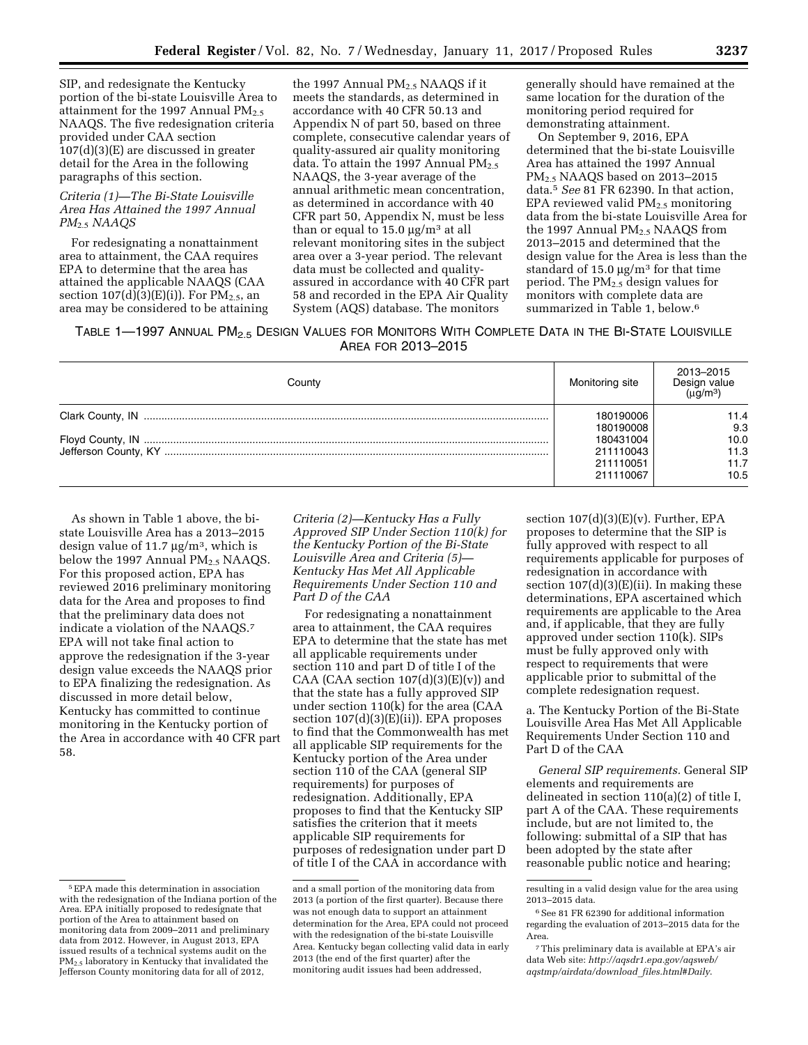SIP, and redesignate the Kentucky portion of the bi-state Louisville Area to attainment for the 1997 Annual  $PM_{2.5}$ NAAQS. The five redesignation criteria provided under CAA section 107(d)(3)(E) are discussed in greater detail for the Area in the following paragraphs of this section.

### *Criteria (1)—The Bi-State Louisville Area Has Attained the 1997 Annual PM*2.5 *NAAQS*

For redesignating a nonattainment area to attainment, the CAA requires EPA to determine that the area has attained the applicable NAAQS (CAA section  $107(d)(3)(E)(i)$ ). For PM<sub>2.5</sub>, an area may be considered to be attaining

the 1997 Annual PM<sub>2.5</sub> NAAQS if it meets the standards, as determined in accordance with 40 CFR 50.13 and Appendix N of part 50, based on three complete, consecutive calendar years of quality-assured air quality monitoring data. To attain the 1997 Annual  $PM_{2.5}$ NAAQS, the 3-year average of the annual arithmetic mean concentration, as determined in accordance with 40 CFR part 50, Appendix N, must be less than or equal to  $15.0 \mu g/m^3$  at all relevant monitoring sites in the subject area over a 3-year period. The relevant data must be collected and qualityassured in accordance with 40 CFR part 58 and recorded in the EPA Air Quality System (AQS) database. The monitors

generally should have remained at the same location for the duration of the monitoring period required for demonstrating attainment.

On September 9, 2016, EPA determined that the bi-state Louisville Area has attained the 1997 Annual PM2.5 NAAQS based on 2013–2015 data.5 *See* 81 FR 62390. In that action, EPA reviewed valid PM2.5 monitoring data from the bi-state Louisville Area for the 1997 Annual  $PM<sub>2.5</sub> NAAQS$  from 2013–2015 and determined that the design value for the Area is less than the standard of 15.0  $\mu$ g/m<sup>3</sup> for that time period. The PM2.5 design values for monitors with complete data are summarized in Table 1, below.6

## TABLE 1-1997 ANNUAL PM<sub>2.5</sub> DESIGN VALUES FOR MONITORS WITH COMPLETE DATA IN THE BI-STATE LOUISVILLE AREA FOR 2013–2015

| County | Monitoring site | 2013-2015<br>Design value<br>$(\mu q/m^3)$ |
|--------|-----------------|--------------------------------------------|
|        | 180190006       | 11.4                                       |
|        | 180190008       | 9.3                                        |
|        | 180431004       | 10.0                                       |
|        | 211110043       | 11.3                                       |
|        | 211110051       | 11.7                                       |
|        | 211110067       | 10.5                                       |

As shown in Table 1 above, the bistate Louisville Area has a 2013–2015 design value of 11.7  $\mu$ g/m<sup>3</sup>, which is below the 1997 Annual  $PM_{2.5}$  NAAQS. For this proposed action, EPA has reviewed 2016 preliminary monitoring data for the Area and proposes to find that the preliminary data does not indicate a violation of the NAAQS.7 EPA will not take final action to approve the redesignation if the 3-year design value exceeds the NAAQS prior to EPA finalizing the redesignation. As discussed in more detail below, Kentucky has committed to continue monitoring in the Kentucky portion of the Area in accordance with 40 CFR part 58.

*Criteria (2)—Kentucky Has a Fully Approved SIP Under Section 110(k) for the Kentucky Portion of the Bi-State Louisville Area and Criteria (5)— Kentucky Has Met All Applicable Requirements Under Section 110 and Part D of the CAA* 

For redesignating a nonattainment area to attainment, the CAA requires EPA to determine that the state has met all applicable requirements under section 110 and part D of title I of the CAA (CAA section  $107(d)(3)(E)(v)$ ) and that the state has a fully approved SIP under section 110(k) for the area (CAA section 107(d)(3)(E)(ii)). EPA proposes to find that the Commonwealth has met all applicable SIP requirements for the Kentucky portion of the Area under section 110 of the CAA (general SIP requirements) for purposes of redesignation. Additionally, EPA proposes to find that the Kentucky SIP satisfies the criterion that it meets applicable SIP requirements for purposes of redesignation under part D of title I of the CAA in accordance with

section  $107(d)(3)(E)(v)$ . Further, EPA proposes to determine that the SIP is fully approved with respect to all requirements applicable for purposes of redesignation in accordance with section  $107(d)(3)(E)(ii)$ . In making these determinations, EPA ascertained which requirements are applicable to the Area and, if applicable, that they are fully approved under section 110(k). SIPs must be fully approved only with respect to requirements that were applicable prior to submittal of the complete redesignation request.

a. The Kentucky Portion of the Bi-State Louisville Area Has Met All Applicable Requirements Under Section 110 and Part D of the CAA

*General SIP requirements.* General SIP elements and requirements are delineated in section 110(a)(2) of title I, part A of the CAA. These requirements include, but are not limited to, the following: submittal of a SIP that has been adopted by the state after reasonable public notice and hearing;

<sup>5</sup>EPA made this determination in association with the redesignation of the Indiana portion of the Area. EPA initially proposed to redesignate that portion of the Area to attainment based on monitoring data from 2009–2011 and preliminary data from 2012. However, in August 2013, EPA issued results of a technical systems audit on the PM2.5 laboratory in Kentucky that invalidated the Jefferson County monitoring data for all of 2012,

and a small portion of the monitoring data from 2013 (a portion of the first quarter). Because there was not enough data to support an attainment determination for the Area, EPA could not proceed with the redesignation of the bi-state Louisville Area. Kentucky began collecting valid data in early 2013 (the end of the first quarter) after the monitoring audit issues had been addressed,

resulting in a valid design value for the area using 2013–2015 data.

<sup>6</sup>See 81 FR 62390 for additional information regarding the evaluation of 2013–2015 data for the Area.

<sup>7</sup>This preliminary data is available at EPA's air data Web site: *[http://aqsdr1.epa.gov/aqsweb/](http://aqsdr1.epa.gov/aqsweb/aqstmp/airdata/download_files.html#Daily) [aqstmp/airdata/download](http://aqsdr1.epa.gov/aqsweb/aqstmp/airdata/download_files.html#Daily)*\_*files.html#Daily*.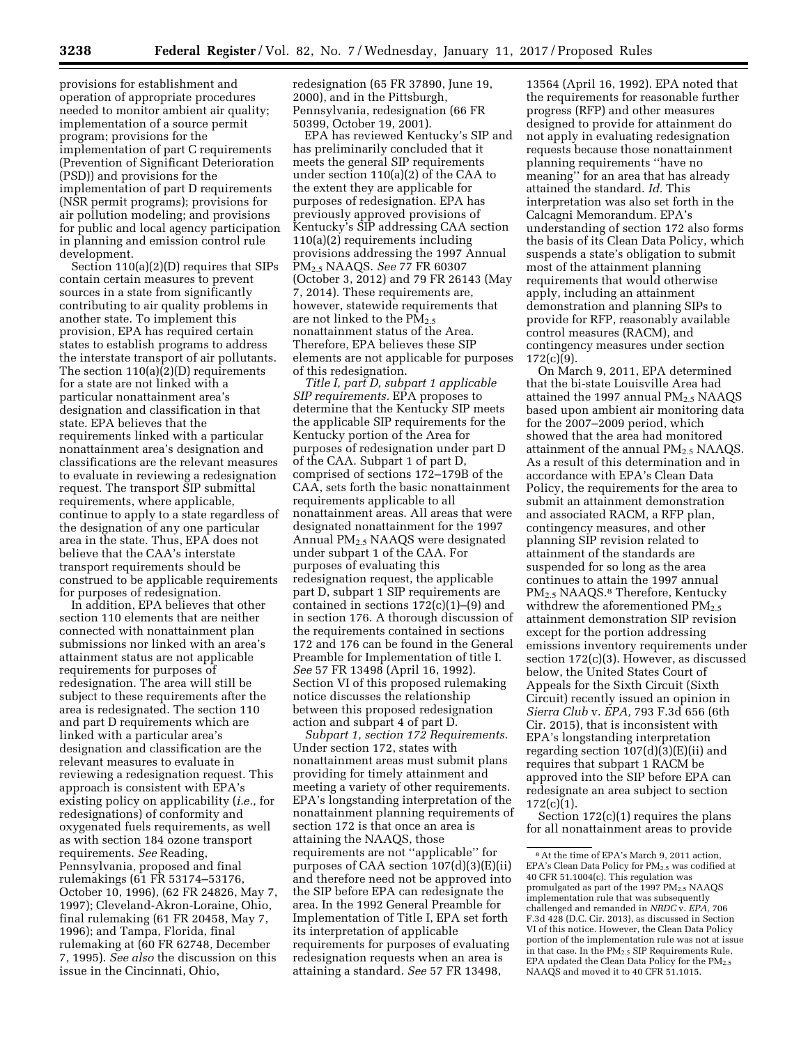provisions for establishment and operation of appropriate procedures needed to monitor ambient air quality; implementation of a source permit program; provisions for the implementation of part C requirements (Prevention of Significant Deterioration (PSD)) and provisions for the implementation of part D requirements (NSR permit programs); provisions for air pollution modeling; and provisions for public and local agency participation in planning and emission control rule development.

Section 110(a)(2)(D) requires that SIPs contain certain measures to prevent sources in a state from significantly contributing to air quality problems in another state. To implement this provision, EPA has required certain states to establish programs to address the interstate transport of air pollutants. The section 110(a)(2)(D) requirements for a state are not linked with a particular nonattainment area's designation and classification in that state. EPA believes that the requirements linked with a particular nonattainment area's designation and classifications are the relevant measures to evaluate in reviewing a redesignation request. The transport SIP submittal requirements, where applicable, continue to apply to a state regardless of the designation of any one particular area in the state. Thus, EPA does not believe that the CAA's interstate transport requirements should be construed to be applicable requirements for purposes of redesignation.

In addition, EPA believes that other section 110 elements that are neither connected with nonattainment plan submissions nor linked with an area's attainment status are not applicable requirements for purposes of redesignation. The area will still be subject to these requirements after the area is redesignated. The section 110 and part D requirements which are linked with a particular area's designation and classification are the relevant measures to evaluate in reviewing a redesignation request. This approach is consistent with EPA's existing policy on applicability (*i.e.,* for redesignations) of conformity and oxygenated fuels requirements, as well as with section 184 ozone transport requirements. *See* Reading, Pennsylvania, proposed and final rulemakings (61 FR 53174–53176, October 10, 1996), (62 FR 24826, May 7, 1997); Cleveland-Akron-Loraine, Ohio, final rulemaking (61 FR 20458, May 7, 1996); and Tampa, Florida, final rulemaking at (60 FR 62748, December 7, 1995). *See also* the discussion on this issue in the Cincinnati, Ohio,

redesignation (65 FR 37890, June 19, 2000), and in the Pittsburgh, Pennsylvania, redesignation (66 FR 50399, October 19, 2001).

EPA has reviewed Kentucky's SIP and has preliminarily concluded that it meets the general SIP requirements under section 110(a)(2) of the CAA to the extent they are applicable for purposes of redesignation. EPA has previously approved provisions of Kentucky's SIP addressing CAA section 110(a)(2) requirements including provisions addressing the 1997 Annual PM2.5 NAAQS. *See* 77 FR 60307 (October 3, 2012) and 79 FR 26143 (May 7, 2014). These requirements are, however, statewide requirements that are not linked to the  $PM_{2.5}$ nonattainment status of the Area. Therefore, EPA believes these SIP elements are not applicable for purposes of this redesignation.

*Title I, part D, subpart 1 applicable SIP requirements.* EPA proposes to determine that the Kentucky SIP meets the applicable SIP requirements for the Kentucky portion of the Area for purposes of redesignation under part D of the CAA. Subpart 1 of part D, comprised of sections 172–179B of the CAA, sets forth the basic nonattainment requirements applicable to all nonattainment areas. All areas that were designated nonattainment for the 1997 Annual  $PM<sub>2.5</sub> NAAOS$  were designated under subpart 1 of the CAA. For purposes of evaluating this redesignation request, the applicable part D, subpart 1 SIP requirements are contained in sections 172(c)(1)–(9) and in section 176. A thorough discussion of the requirements contained in sections 172 and 176 can be found in the General Preamble for Implementation of title I. *See* 57 FR 13498 (April 16, 1992). Section VI of this proposed rulemaking notice discusses the relationship between this proposed redesignation action and subpart 4 of part D.

*Subpart 1, section 172 Requirements*. Under section 172, states with nonattainment areas must submit plans providing for timely attainment and meeting a variety of other requirements. EPA's longstanding interpretation of the nonattainment planning requirements of section 172 is that once an area is attaining the NAAQS, those requirements are not ''applicable'' for purposes of CAA section 107(d)(3)(E)(ii) and therefore need not be approved into the SIP before EPA can redesignate the area. In the 1992 General Preamble for Implementation of Title I, EPA set forth its interpretation of applicable requirements for purposes of evaluating redesignation requests when an area is attaining a standard. *See* 57 FR 13498,

13564 (April 16, 1992). EPA noted that the requirements for reasonable further progress (RFP) and other measures designed to provide for attainment do not apply in evaluating redesignation requests because those nonattainment planning requirements ''have no meaning'' for an area that has already attained the standard. *Id.* This interpretation was also set forth in the Calcagni Memorandum. EPA's understanding of section 172 also forms the basis of its Clean Data Policy, which suspends a state's obligation to submit most of the attainment planning requirements that would otherwise apply, including an attainment demonstration and planning SIPs to provide for RFP, reasonably available control measures (RACM), and contingency measures under section 172(c)(9).

On March 9, 2011, EPA determined that the bi-state Louisville Area had attained the 1997 annual  $PM_{2.5}$  NAAQS based upon ambient air monitoring data for the 2007–2009 period, which showed that the area had monitored attainment of the annual  $PM<sub>2.5</sub> NAAQS$ . As a result of this determination and in accordance with EPA's Clean Data Policy, the requirements for the area to submit an attainment demonstration and associated RACM, a RFP plan, contingency measures, and other planning SIP revision related to attainment of the standards are suspended for so long as the area continues to attain the 1997 annual PM<sub>2.5</sub> NAAQS.<sup>8</sup> Therefore, Kentucky withdrew the aforementioned  $PM<sub>2.5</sub>$ attainment demonstration SIP revision except for the portion addressing emissions inventory requirements under section 172(c)(3). However, as discussed below, the United States Court of Appeals for the Sixth Circuit (Sixth Circuit) recently issued an opinion in *Sierra Club* v. *EPA,* 793 F.3d 656 (6th Cir. 2015), that is inconsistent with EPA's longstanding interpretation regarding section 107(d)(3)(E)(ii) and requires that subpart 1 RACM be approved into the SIP before EPA can redesignate an area subject to section 172(c)(1).

Section 172(c)(1) requires the plans for all nonattainment areas to provide

<sup>8</sup>At the time of EPA's March 9, 2011 action, EPA's Clean Data Policy for PM2.5 was codified at 40 CFR 51.1004(c). This regulation was promulgated as part of the 1997 PM<sub>2.5</sub> NAAQS implementation rule that was subsequently challenged and remanded in *NRDC* v. *EPA,* 706 F.3d 428 (D.C. Cir. 2013), as discussed in Section VI of this notice. However, the Clean Data Policy portion of the implementation rule was not at issue in that case. In the PM<sub>2.5</sub> SIP Requirements Rule, EPA updated the Clean Data Policy for the  $PM_{2.5}$ NAAQS and moved it to 40 CFR 51.1015.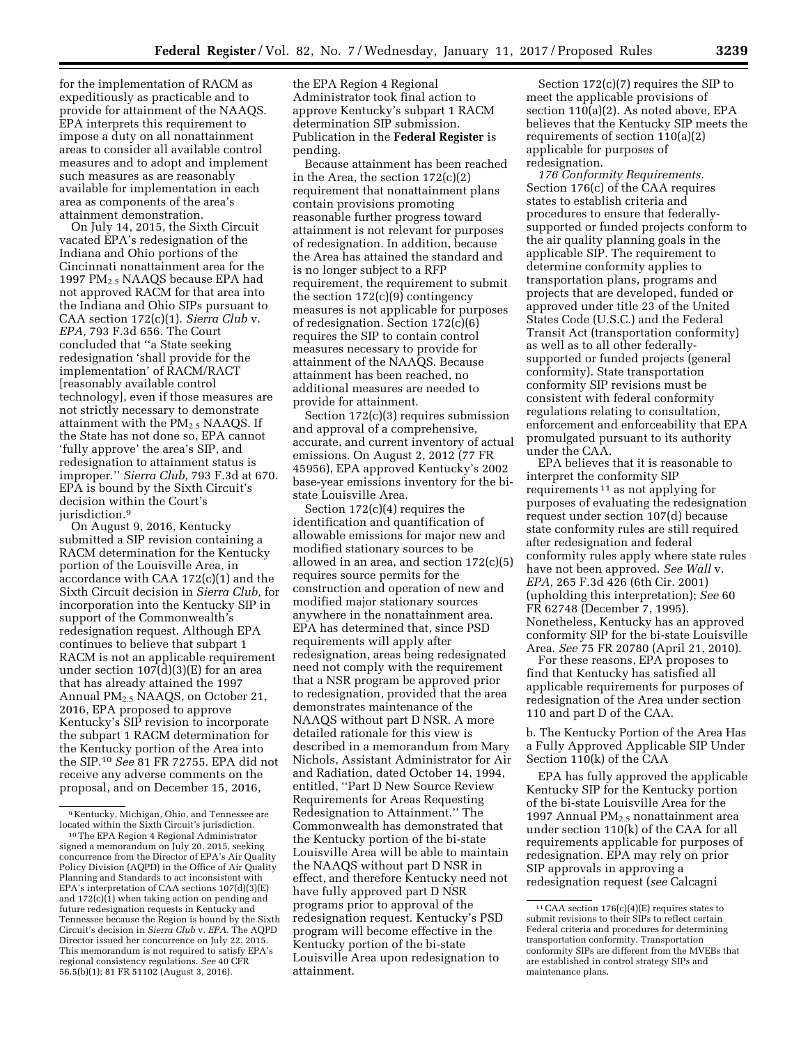for the implementation of RACM as expeditiously as practicable and to provide for attainment of the NAAQS. EPA interprets this requirement to impose a duty on all nonattainment areas to consider all available control measures and to adopt and implement such measures as are reasonably available for implementation in each area as components of the area's attainment demonstration.

On July 14, 2015, the Sixth Circuit vacated EPA's redesignation of the Indiana and Ohio portions of the Cincinnati nonattainment area for the 1997 PM2.5 NAAQS because EPA had not approved RACM for that area into the Indiana and Ohio SIPs pursuant to CAA section 172(c)(1). *Sierra Club* v. *EPA,* 793 F.3d 656. The Court concluded that ''a State seeking redesignation 'shall provide for the implementation' of RACM/RACT [reasonably available control technology], even if those measures are not strictly necessary to demonstrate attainment with the  $PM_{2.5}$  NAAQS. If the State has not done so, EPA cannot 'fully approve' the area's SIP, and redesignation to attainment status is improper.'' *Sierra Club,* 793 F.3d at 670. EPA is bound by the Sixth Circuit's decision within the Court's jurisdiction.<sup>9</sup>

On August 9, 2016, Kentucky submitted a SIP revision containing a RACM determination for the Kentucky portion of the Louisville Area, in accordance with CAA 172(c)(1) and the Sixth Circuit decision in *Sierra Club,* for incorporation into the Kentucky SIP in support of the Commonwealth's redesignation request. Although EPA continues to believe that subpart 1 RACM is not an applicable requirement under section  $107(d)(3)(E)$  for an area that has already attained the 1997 Annual PM2.5 NAAQS, on October 21, 2016, EPA proposed to approve Kentucky's SIP revision to incorporate the subpart 1 RACM determination for the Kentucky portion of the Area into the SIP.10 *See* 81 FR 72755. EPA did not receive any adverse comments on the proposal, and on December 15, 2016,

the EPA Region 4 Regional Administrator took final action to approve Kentucky's subpart 1 RACM determination SIP submission. Publication in the **Federal Register** is pending.

Because attainment has been reached in the Area, the section 172(c)(2) requirement that nonattainment plans contain provisions promoting reasonable further progress toward attainment is not relevant for purposes of redesignation. In addition, because the Area has attained the standard and is no longer subject to a RFP requirement, the requirement to submit the section  $172(c)(9)$  contingency measures is not applicable for purposes of redesignation. Section 172(c)(6) requires the SIP to contain control measures necessary to provide for attainment of the NAAQS. Because attainment has been reached, no additional measures are needed to provide for attainment.

Section 172(c)(3) requires submission and approval of a comprehensive, accurate, and current inventory of actual emissions. On August 2, 2012 (77 FR 45956), EPA approved Kentucky's 2002 base-year emissions inventory for the bistate Louisville Area.

Section 172(c)(4) requires the identification and quantification of allowable emissions for major new and modified stationary sources to be allowed in an area, and section 172(c)(5) requires source permits for the construction and operation of new and modified major stationary sources anywhere in the nonattainment area. EPA has determined that, since PSD requirements will apply after redesignation, areas being redesignated need not comply with the requirement that a NSR program be approved prior to redesignation, provided that the area demonstrates maintenance of the NAAQS without part D NSR. A more detailed rationale for this view is described in a memorandum from Mary Nichols, Assistant Administrator for Air and Radiation, dated October 14, 1994, entitled, ''Part D New Source Review Requirements for Areas Requesting Redesignation to Attainment.'' The Commonwealth has demonstrated that the Kentucky portion of the bi-state Louisville Area will be able to maintain the NAAQS without part D NSR in effect, and therefore Kentucky need not have fully approved part D NSR programs prior to approval of the redesignation request. Kentucky's PSD program will become effective in the Kentucky portion of the bi-state Louisville Area upon redesignation to attainment.

Section 172(c)(7) requires the SIP to meet the applicable provisions of section 110(a)(2). As noted above, EPA believes that the Kentucky SIP meets the requirements of section 110(a)(2) applicable for purposes of redesignation.

*176 Conformity Requirements.*  Section 176(c) of the CAA requires states to establish criteria and procedures to ensure that federallysupported or funded projects conform to the air quality planning goals in the applicable SIP. The requirement to determine conformity applies to transportation plans, programs and projects that are developed, funded or approved under title 23 of the United States Code (U.S.C.) and the Federal Transit Act (transportation conformity) as well as to all other federallysupported or funded projects (general conformity). State transportation conformity SIP revisions must be consistent with federal conformity regulations relating to consultation, enforcement and enforceability that EPA promulgated pursuant to its authority under the CAA.

EPA believes that it is reasonable to interpret the conformity SIP requirements 11 as not applying for purposes of evaluating the redesignation request under section 107(d) because state conformity rules are still required after redesignation and federal conformity rules apply where state rules have not been approved. *See Wall* v. *EPA,* 265 F.3d 426 (6th Cir. 2001) (upholding this interpretation); *See* 60 FR 62748 (December 7, 1995). Nonetheless, Kentucky has an approved conformity SIP for the bi-state Louisville Area. *See* 75 FR 20780 (April 21, 2010).

For these reasons, EPA proposes to find that Kentucky has satisfied all applicable requirements for purposes of redesignation of the Area under section 110 and part D of the CAA.

b. The Kentucky Portion of the Area Has a Fully Approved Applicable SIP Under Section 110(k) of the CAA

EPA has fully approved the applicable Kentucky SIP for the Kentucky portion of the bi-state Louisville Area for the 1997 Annual  $PM<sub>2.5</sub>$  nonattainment area under section 110(k) of the CAA for all requirements applicable for purposes of redesignation. EPA may rely on prior SIP approvals in approving a redesignation request (*see* Calcagni

<sup>9</sup> Kentucky, Michigan, Ohio, and Tennessee are

<sup>&</sup>lt;sup>10</sup> The EPA Region 4 Regional Administrator signed a memorandum on July 20, 2015, seeking concurrence from the Director of EPA's Air Quality Policy Division (AQPD) in the Office of Air Quality Planning and Standards to act inconsistent with EPA's interpretation of CAA sections 107(d)(3)(E) and  $172(c)(1)$  when taking action on pending and future redesignation requests in Kentucky and Tennessee because the Region is bound by the Sixth Circuit's decision in *Sierra Club* v. *EPA.* The AQPD Director issued her concurrence on July 22, 2015. This memorandum is not required to satisfy EPA's regional consistency regulations. *See* 40 CFR 56.5(b)(1); 81 FR 51102 (August 3, 2016).

<sup>11</sup>CAA section 176(c)(4)(E) requires states to submit revisions to their SIPs to reflect certain Federal criteria and procedures for determining transportation conformity. Transportation conformity SIPs are different from the MVEBs that are established in control strategy SIPs and maintenance plans.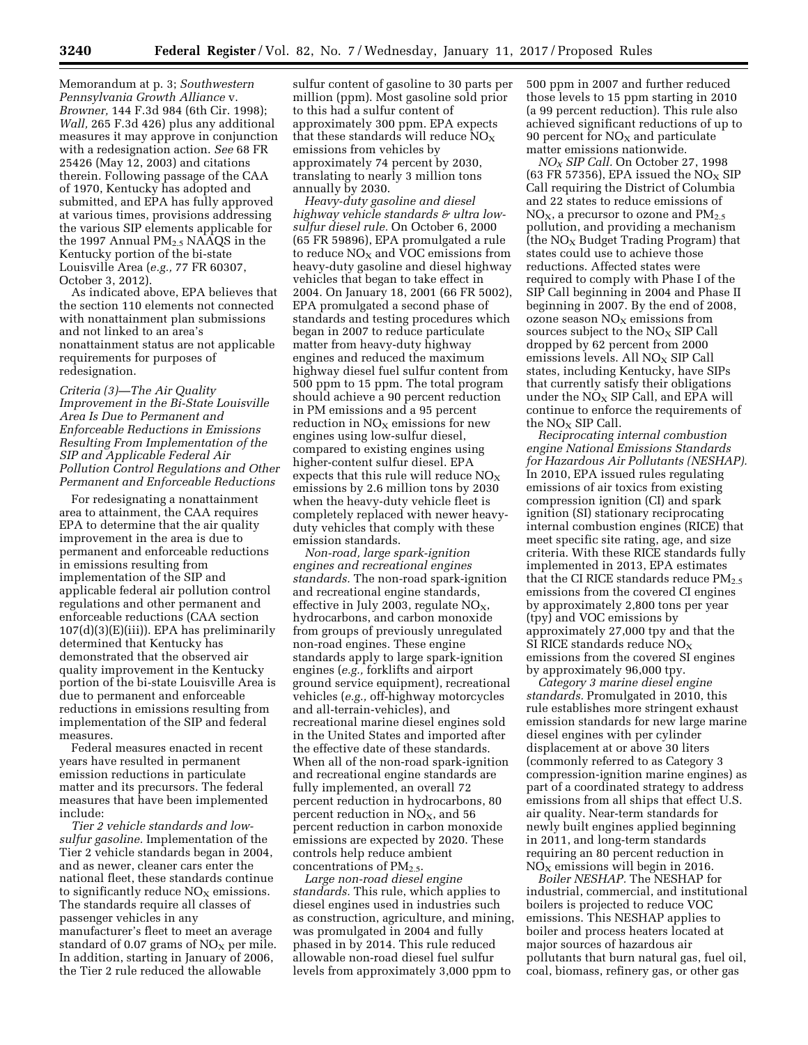Memorandum at p. 3; *Southwestern Pennsylvania Growth Alliance* v. *Browner,* 144 F.3d 984 (6th Cir. 1998); *Wall,* 265 F.3d 426) plus any additional measures it may approve in conjunction with a redesignation action. *See* 68 FR 25426 (May 12, 2003) and citations therein. Following passage of the CAA of 1970, Kentucky has adopted and submitted, and EPA has fully approved at various times, provisions addressing the various SIP elements applicable for the 1997 Annual  $PM<sub>2.5</sub> NAAQS$  in the Kentucky portion of the bi-state Louisville Area (*e.g.,* 77 FR 60307, October 3, 2012).

As indicated above, EPA believes that the section 110 elements not connected with nonattainment plan submissions and not linked to an area's nonattainment status are not applicable requirements for purposes of redesignation.

*Criteria (3)—The Air Quality Improvement in the Bi-State Louisville Area Is Due to Permanent and Enforceable Reductions in Emissions Resulting From Implementation of the SIP and Applicable Federal Air Pollution Control Regulations and Other Permanent and Enforceable Reductions* 

For redesignating a nonattainment area to attainment, the CAA requires EPA to determine that the air quality improvement in the area is due to permanent and enforceable reductions in emissions resulting from implementation of the SIP and applicable federal air pollution control regulations and other permanent and enforceable reductions (CAA section 107(d)(3)(E)(iii)). EPA has preliminarily determined that Kentucky has demonstrated that the observed air quality improvement in the Kentucky portion of the bi-state Louisville Area is due to permanent and enforceable reductions in emissions resulting from implementation of the SIP and federal measures.

Federal measures enacted in recent years have resulted in permanent emission reductions in particulate matter and its precursors. The federal measures that have been implemented include:

*Tier 2 vehicle standards and lowsulfur gasoline.* Implementation of the Tier 2 vehicle standards began in 2004, and as newer, cleaner cars enter the national fleet, these standards continue to significantly reduce  $NO<sub>x</sub>$  emissions. The standards require all classes of passenger vehicles in any manufacturer's fleet to meet an average standard of 0.07 grams of  $NO<sub>x</sub>$  per mile. In addition, starting in January of 2006, the Tier 2 rule reduced the allowable

sulfur content of gasoline to 30 parts per million (ppm). Most gasoline sold prior to this had a sulfur content of approximately 300 ppm. EPA expects that these standards will reduce  $NO<sub>x</sub>$ emissions from vehicles by approximately 74 percent by 2030, translating to nearly 3 million tons annually by 2030.

*Heavy-duty gasoline and diesel highway vehicle standards & ultra lowsulfur diesel rule.* On October 6, 2000 (65 FR 59896), EPA promulgated a rule to reduce  $NO<sub>X</sub>$  and VOC emissions from heavy-duty gasoline and diesel highway vehicles that began to take effect in 2004. On January 18, 2001 (66 FR 5002), EPA promulgated a second phase of standards and testing procedures which began in 2007 to reduce particulate matter from heavy-duty highway engines and reduced the maximum highway diesel fuel sulfur content from 500 ppm to 15 ppm. The total program should achieve a 90 percent reduction in PM emissions and a 95 percent reduction in  $NO<sub>x</sub>$  emissions for new engines using low-sulfur diesel, compared to existing engines using higher-content sulfur diesel. EPA expects that this rule will reduce  $NO<sub>x</sub>$ emissions by 2.6 million tons by 2030 when the heavy-duty vehicle fleet is completely replaced with newer heavyduty vehicles that comply with these emission standards.

*Non-road, large spark-ignition engines and recreational engines standards.* The non-road spark-ignition and recreational engine standards, effective in July 2003, regulate  $NO<sub>X</sub>$ , hydrocarbons, and carbon monoxide from groups of previously unregulated non-road engines. These engine standards apply to large spark-ignition engines (*e.g.,* forklifts and airport ground service equipment), recreational vehicles (*e.g.,* off-highway motorcycles and all-terrain-vehicles), and recreational marine diesel engines sold in the United States and imported after the effective date of these standards. When all of the non-road spark-ignition and recreational engine standards are fully implemented, an overall 72 percent reduction in hydrocarbons, 80 percent reduction in  $NO<sub>X</sub>$ , and 56 percent reduction in carbon monoxide emissions are expected by 2020. These controls help reduce ambient concentrations of  $PM_{2.5}$ .

*Large non-road diesel engine standards.* This rule, which applies to diesel engines used in industries such as construction, agriculture, and mining, was promulgated in 2004 and fully phased in by 2014. This rule reduced allowable non-road diesel fuel sulfur levels from approximately 3,000 ppm to

500 ppm in 2007 and further reduced those levels to 15 ppm starting in 2010 (a 99 percent reduction). This rule also achieved significant reductions of up to 90 percent for  $NO<sub>x</sub>$  and particulate matter emissions nationwide.

*NOX SIP Call.* On October 27, 1998 (63 FR 57356), EPA issued the  $NO<sub>X</sub>$  SIP Call requiring the District of Columbia and 22 states to reduce emissions of  $NO<sub>X</sub>$ , a precursor to ozone and  $PM<sub>2.5</sub>$ pollution, and providing a mechanism (the  $NO<sub>X</sub>$  Budget Trading Program) that states could use to achieve those reductions. Affected states were required to comply with Phase I of the SIP Call beginning in 2004 and Phase II beginning in 2007. By the end of 2008, ozone season  $NO<sub>x</sub>$  emissions from sources subject to the  $NO<sub>x</sub>$  SIP Call dropped by 62 percent from 2000 emissions levels. All  $NO<sub>X</sub>$  SIP Call states, including Kentucky, have SIPs that currently satisfy their obligations under the  $NO<sub>X</sub>$  SIP Call, and EPA will continue to enforce the requirements of the  $NO<sub>x</sub>$  SIP Call.

*Reciprocating internal combustion engine National Emissions Standards for Hazardous Air Pollutants (NESHAP).*  In 2010, EPA issued rules regulating emissions of air toxics from existing compression ignition (CI) and spark ignition (SI) stationary reciprocating internal combustion engines (RICE) that meet specific site rating, age, and size criteria. With these RICE standards fully implemented in 2013, EPA estimates that the CI RICE standards reduce  $PM_{2.5}$ emissions from the covered CI engines by approximately 2,800 tons per year (tpy) and VOC emissions by approximately 27,000 tpy and that the SI RICE standards reduce  $NO<sub>x</sub>$ emissions from the covered SI engines by approximately 96,000 tpy.

*Category 3 marine diesel engine standards.* Promulgated in 2010, this rule establishes more stringent exhaust emission standards for new large marine diesel engines with per cylinder displacement at or above 30 liters (commonly referred to as Category 3 compression-ignition marine engines) as part of a coordinated strategy to address emissions from all ships that effect U.S. air quality. Near-term standards for newly built engines applied beginning in 2011, and long-term standards requiring an 80 percent reduction in  $NO<sub>X</sub>$  emissions will begin in 2016.

*Boiler NESHAP.* The NESHAP for industrial, commercial, and institutional boilers is projected to reduce VOC emissions. This NESHAP applies to boiler and process heaters located at major sources of hazardous air pollutants that burn natural gas, fuel oil, coal, biomass, refinery gas, or other gas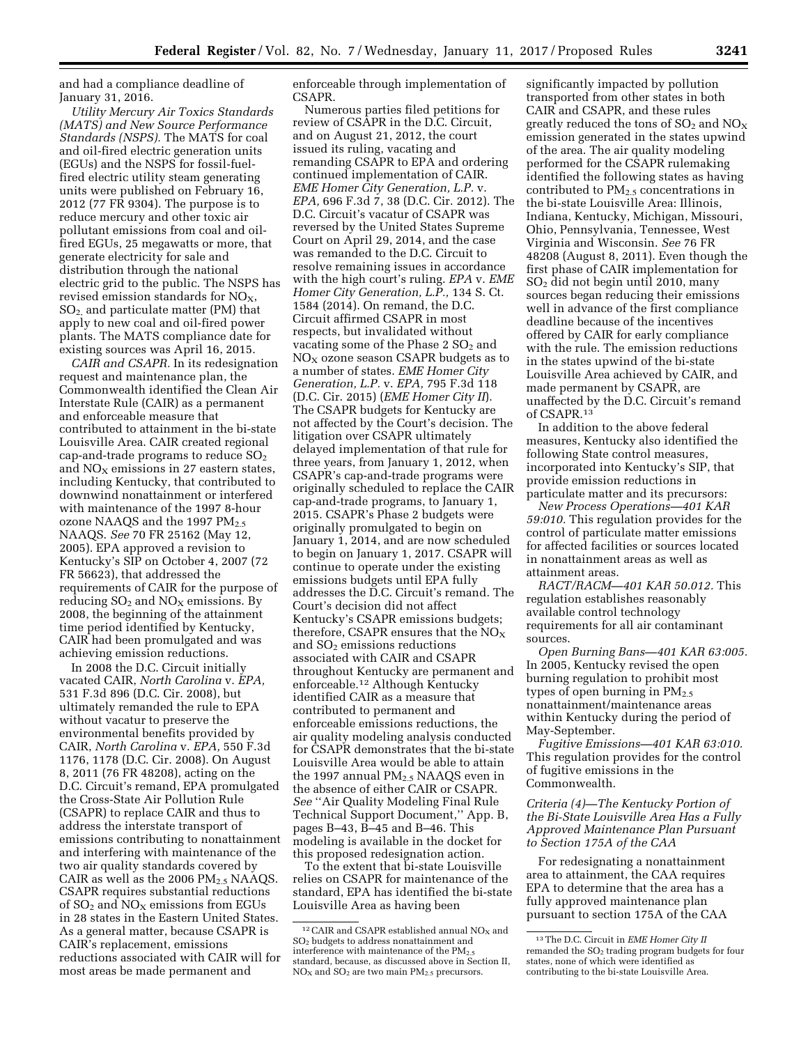and had a compliance deadline of January 31, 2016.

*Utility Mercury Air Toxics Standards (MATS) and New Source Performance Standards (NSPS).* The MATS for coal and oil-fired electric generation units (EGUs) and the NSPS for fossil-fuelfired electric utility steam generating units were published on February 16, 2012 (77 FR 9304). The purpose is to reduce mercury and other toxic air pollutant emissions from coal and oilfired EGUs, 25 megawatts or more, that generate electricity for sale and distribution through the national electric grid to the public. The NSPS has revised emission standards for  $NO<sub>X</sub>$ ,  $SO<sub>2</sub>$  and particulate matter (PM) that apply to new coal and oil-fired power plants. The MATS compliance date for existing sources was April 16, 2015.

*CAIR and CSAPR.* In its redesignation request and maintenance plan, the Commonwealth identified the Clean Air Interstate Rule (CAIR) as a permanent and enforceable measure that contributed to attainment in the bi-state Louisville Area. CAIR created regional cap-and-trade programs to reduce  $SO<sub>2</sub>$ and  $NO<sub>X</sub>$  emissions in 27 eastern states, including Kentucky, that contributed to downwind nonattainment or interfered with maintenance of the 1997 8-hour ozone NAAQS and the 1997 PM<sub>2.5</sub> NAAQS. *See* 70 FR 25162 (May 12, 2005). EPA approved a revision to Kentucky's SIP on October 4, 2007 (72 FR 56623), that addressed the requirements of CAIR for the purpose of reducing  $SO_2$  and  $NO_{X}$  emissions. By 2008, the beginning of the attainment time period identified by Kentucky, CAIR had been promulgated and was achieving emission reductions.

In 2008 the D.C. Circuit initially vacated CAIR, *North Carolina* v. *EPA,*  531 F.3d 896 (D.C. Cir. 2008), but ultimately remanded the rule to EPA without vacatur to preserve the environmental benefits provided by CAIR, *North Carolina* v. *EPA,* 550 F.3d 1176, 1178 (D.C. Cir. 2008). On August 8, 2011 (76 FR 48208), acting on the D.C. Circuit's remand, EPA promulgated the Cross-State Air Pollution Rule (CSAPR) to replace CAIR and thus to address the interstate transport of emissions contributing to nonattainment and interfering with maintenance of the two air quality standards covered by CAIR as well as the 2006  $PM<sub>2.5</sub> NAAQS$ . CSAPR requires substantial reductions of  $SO_2$  and  $NO_X$  emissions from EGUs in 28 states in the Eastern United States. As a general matter, because CSAPR is CAIR's replacement, emissions reductions associated with CAIR will for most areas be made permanent and

enforceable through implementation of CSAPR.

Numerous parties filed petitions for review of CSAPR in the D.C. Circuit, and on August 21, 2012, the court issued its ruling, vacating and remanding CSAPR to EPA and ordering continued implementation of CAIR. *EME Homer City Generation, L.P.* v. *EPA,* 696 F.3d 7, 38 (D.C. Cir. 2012). The D.C. Circuit's vacatur of CSAPR was reversed by the United States Supreme Court on April 29, 2014, and the case was remanded to the D.C. Circuit to resolve remaining issues in accordance with the high court's ruling. *EPA* v. *EME Homer City Generation, L.P.,* 134 S. Ct. 1584 (2014). On remand, the D.C. Circuit affirmed CSAPR in most respects, but invalidated without vacating some of the Phase  $2 SO<sub>2</sub>$  and  $NO<sub>X</sub>$  ozone season CSAPR budgets as to a number of states. *EME Homer City Generation, L.P.* v. *EPA,* 795 F.3d 118 (D.C. Cir. 2015) (*EME Homer City II*). The CSAPR budgets for Kentucky are not affected by the Court's decision. The litigation over CSAPR ultimately delayed implementation of that rule for three years, from January 1, 2012, when CSAPR's cap-and-trade programs were originally scheduled to replace the CAIR cap-and-trade programs, to January 1, 2015. CSAPR's Phase 2 budgets were originally promulgated to begin on January 1, 2014, and are now scheduled to begin on January 1, 2017. CSAPR will continue to operate under the existing emissions budgets until EPA fully addresses the D.C. Circuit's remand. The Court's decision did not affect Kentucky's CSAPR emissions budgets; therefore, CSAPR ensures that the  $NO<sub>X</sub>$ and  $SO<sub>2</sub>$  emissions reductions associated with CAIR and CSAPR throughout Kentucky are permanent and enforceable.12 Although Kentucky identified CAIR as a measure that contributed to permanent and enforceable emissions reductions, the air quality modeling analysis conducted for CSAPR demonstrates that the bi-state Louisville Area would be able to attain the 1997 annual  $PM<sub>2.5</sub> NAAQS$  even in the absence of either CAIR or CSAPR. *See* ''Air Quality Modeling Final Rule Technical Support Document,'' App. B, pages B–43, B–45 and B–46. This modeling is available in the docket for this proposed redesignation action.

To the extent that bi-state Louisville relies on CSAPR for maintenance of the standard, EPA has identified the bi-state Louisville Area as having been

significantly impacted by pollution transported from other states in both CAIR and CSAPR, and these rules greatly reduced the tons of  $SO_2$  and  $NO_X$ emission generated in the states upwind of the area. The air quality modeling performed for the CSAPR rulemaking identified the following states as having contributed to  $PM<sub>2.5</sub>$  concentrations in the bi-state Louisville Area: Illinois, Indiana, Kentucky, Michigan, Missouri, Ohio, Pennsylvania, Tennessee, West Virginia and Wisconsin. *See* 76 FR 48208 (August 8, 2011). Even though the first phase of CAIR implementation for SO2 did not begin until 2010, many sources began reducing their emissions well in advance of the first compliance deadline because of the incentives offered by CAIR for early compliance with the rule. The emission reductions in the states upwind of the bi-state Louisville Area achieved by CAIR, and made permanent by CSAPR, are unaffected by the D.C. Circuit's remand of CSAPR.13

In addition to the above federal measures, Kentucky also identified the following State control measures, incorporated into Kentucky's SIP, that provide emission reductions in particulate matter and its precursors:

*New Process Operations—401 KAR 59:010.* This regulation provides for the control of particulate matter emissions for affected facilities or sources located in nonattainment areas as well as attainment areas.

*RACT/RACM—401 KAR 50.012.* This regulation establishes reasonably available control technology requirements for all air contaminant sources.

*Open Burning Bans—401 KAR 63:005.*  In 2005, Kentucky revised the open burning regulation to prohibit most types of open burning in  $PM_{2,5}$ nonattainment/maintenance areas within Kentucky during the period of May-September.

*Fugitive Emissions—401 KAR 63:010.*  This regulation provides for the control of fugitive emissions in the Commonwealth.

## *Criteria (4)—The Kentucky Portion of the Bi-State Louisville Area Has a Fully Approved Maintenance Plan Pursuant to Section 175A of the CAA*

For redesignating a nonattainment area to attainment, the CAA requires EPA to determine that the area has a fully approved maintenance plan pursuant to section 175A of the CAA

 $^{12}\rm{CAIR}$  and CSAPR established annual  $\rm{NO_{X}}$  and SO2 budgets to address nonattainment and interference with maintenance of the  $PM_{2.5}$ standard, because, as discussed above in Section II,  $NO<sub>x</sub>$  and  $SO<sub>2</sub>$  are two main  $PM<sub>2.5</sub>$  precursors.

<sup>13</sup>The D.C. Circuit in *EME Homer City II*  remanded the SO<sub>2</sub> trading program budgets for four states, none of which were identified as contributing to the bi-state Louisville Area.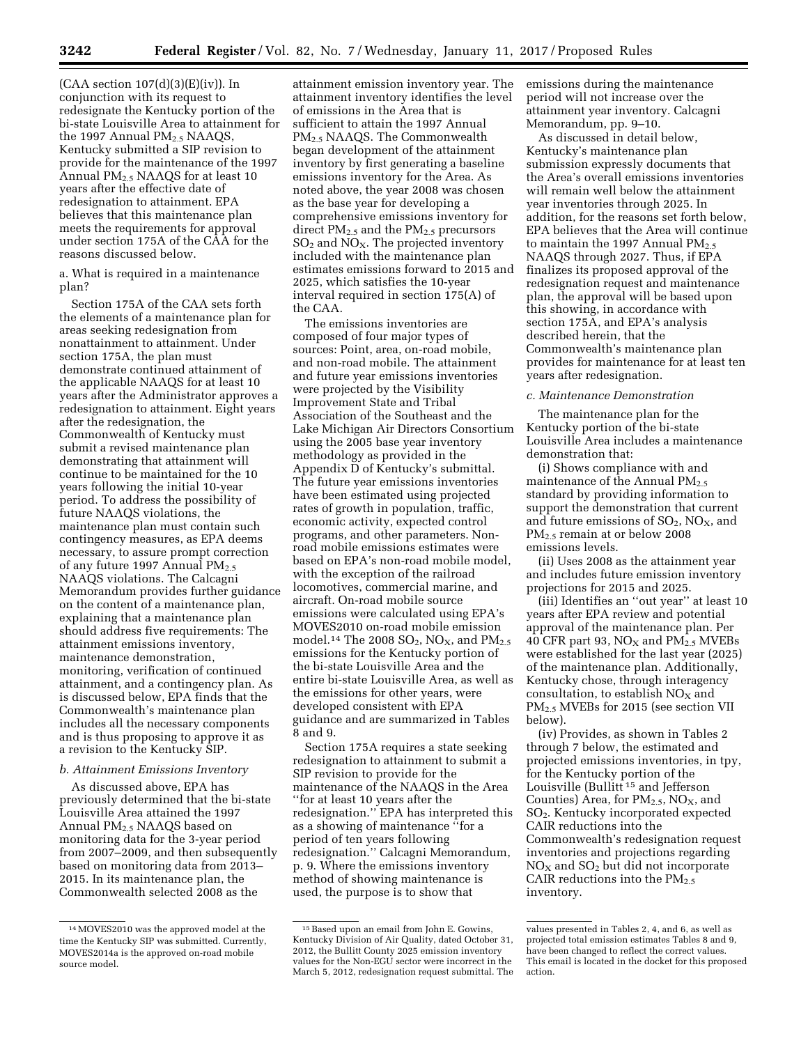$(CAA$  section  $107(d)(3)(E)(iv)$ ). In conjunction with its request to redesignate the Kentucky portion of the bi-state Louisville Area to attainment for the 1997 Annual PM<sub>2.5</sub> NAAQS, Kentucky submitted a SIP revision to provide for the maintenance of the 1997 Annual  $PM_{2.5}$  NAAQS for at least 10 years after the effective date of redesignation to attainment. EPA believes that this maintenance plan meets the requirements for approval under section 175A of the CAA for the reasons discussed below.

a. What is required in a maintenance plan?

Section 175A of the CAA sets forth the elements of a maintenance plan for areas seeking redesignation from nonattainment to attainment. Under section 175A, the plan must demonstrate continued attainment of the applicable NAAQS for at least 10 years after the Administrator approves a redesignation to attainment. Eight years after the redesignation, the Commonwealth of Kentucky must submit a revised maintenance plan demonstrating that attainment will continue to be maintained for the 10 years following the initial 10-year period. To address the possibility of future NAAQS violations, the maintenance plan must contain such contingency measures, as EPA deems necessary, to assure prompt correction of any future 1997 Annual  $PM_{2.5}$ NAAQS violations. The Calcagni Memorandum provides further guidance on the content of a maintenance plan, explaining that a maintenance plan should address five requirements: The attainment emissions inventory, maintenance demonstration, monitoring, verification of continued attainment, and a contingency plan. As is discussed below, EPA finds that the Commonwealth's maintenance plan includes all the necessary components and is thus proposing to approve it as a revision to the Kentucky SIP.

## *b. Attainment Emissions Inventory*

As discussed above, EPA has previously determined that the bi-state Louisville Area attained the 1997 Annual PM2.5 NAAQS based on monitoring data for the 3-year period from 2007–2009, and then subsequently based on monitoring data from 2013– 2015. In its maintenance plan, the Commonwealth selected 2008 as the

attainment emission inventory year. The attainment inventory identifies the level of emissions in the Area that is sufficient to attain the 1997 Annual PM2.5 NAAQS. The Commonwealth began development of the attainment inventory by first generating a baseline emissions inventory for the Area. As noted above, the year 2008 was chosen as the base year for developing a comprehensive emissions inventory for direct  $PM_{2.5}$  and the  $PM_{2.5}$  precursors  $SO<sub>2</sub>$  and NO<sub>X</sub>. The projected inventory included with the maintenance plan estimates emissions forward to 2015 and 2025, which satisfies the 10-year interval required in section 175(A) of the CAA.

The emissions inventories are composed of four major types of sources: Point, area, on-road mobile, and non-road mobile. The attainment and future year emissions inventories were projected by the Visibility Improvement State and Tribal Association of the Southeast and the Lake Michigan Air Directors Consortium using the 2005 base year inventory methodology as provided in the Appendix D of Kentucky's submittal. The future year emissions inventories have been estimated using projected rates of growth in population, traffic, economic activity, expected control programs, and other parameters. Nonroad mobile emissions estimates were based on EPA's non-road mobile model, with the exception of the railroad locomotives, commercial marine, and aircraft. On-road mobile source emissions were calculated using EPA's MOVES2010 on-road mobile emission model.<sup>14</sup> The 2008 SO<sub>2</sub>, NO<sub>X</sub>, and PM<sub>2.5</sub> emissions for the Kentucky portion of the bi-state Louisville Area and the entire bi-state Louisville Area, as well as the emissions for other years, were developed consistent with EPA guidance and are summarized in Tables 8 and 9.

Section 175A requires a state seeking redesignation to attainment to submit a SIP revision to provide for the maintenance of the NAAQS in the Area ''for at least 10 years after the redesignation.'' EPA has interpreted this as a showing of maintenance ''for a period of ten years following redesignation.'' Calcagni Memorandum, p. 9. Where the emissions inventory method of showing maintenance is used, the purpose is to show that

emissions during the maintenance period will not increase over the attainment year inventory. Calcagni Memorandum, pp. 9–10.

As discussed in detail below, Kentucky's maintenance plan submission expressly documents that the Area's overall emissions inventories will remain well below the attainment year inventories through 2025. In addition, for the reasons set forth below, EPA believes that the Area will continue to maintain the 1997 Annual  $PM_{2.5}$ NAAQS through 2027. Thus, if EPA finalizes its proposed approval of the redesignation request and maintenance plan, the approval will be based upon this showing, in accordance with section 175A, and EPA's analysis described herein, that the Commonwealth's maintenance plan provides for maintenance for at least ten years after redesignation.

### *c. Maintenance Demonstration*

The maintenance plan for the Kentucky portion of the bi-state Louisville Area includes a maintenance demonstration that:

(i) Shows compliance with and maintenance of the Annual  $PM<sub>2.5</sub>$ standard by providing information to support the demonstration that current and future emissions of  $SO_2$ ,  $NO_X$ , and PM2.5 remain at or below 2008 emissions levels.

(ii) Uses 2008 as the attainment year and includes future emission inventory projections for 2015 and 2025.

(iii) Identifies an ''out year'' at least 10 years after EPA review and potential approval of the maintenance plan. Per 40 CFR part 93,  $NO<sub>X</sub>$  and  $PM<sub>2.5</sub>$  MVEBs were established for the last year (2025) of the maintenance plan. Additionally, Kentucky chose, through interagency consultation, to establish  $NO<sub>x</sub>$  and PM<sub>2.5</sub> MVEBs for 2015 (see section VII below).

(iv) Provides, as shown in Tables 2 through 7 below, the estimated and projected emissions inventories, in tpy, for the Kentucky portion of the Louisville (Bullitt 15 and Jefferson Counties) Area, for  $PM_{2.5}$ , NO<sub>X</sub>, and SO2. Kentucky incorporated expected CAIR reductions into the Commonwealth's redesignation request inventories and projections regarding  $NO<sub>x</sub>$  and  $SO<sub>2</sub>$  but did not incorporate CAIR reductions into the  $PM_{2.5}$ inventory.

<sup>14</sup>MOVES2010 was the approved model at the time the Kentucky SIP was submitted. Currently, MOVES2014a is the approved on-road mobile source model.

<sup>15</sup>Based upon an email from John E. Gowins, Kentucky Division of Air Quality, dated October 31, 2012, the Bullitt County 2025 emission inventory values for the Non-EGU sector were incorrect in the March 5, 2012, redesignation request submittal. The

values presented in Tables 2, 4, and 6, as well as projected total emission estimates Tables 8 and 9, have been changed to reflect the correct values. This email is located in the docket for this proposed action.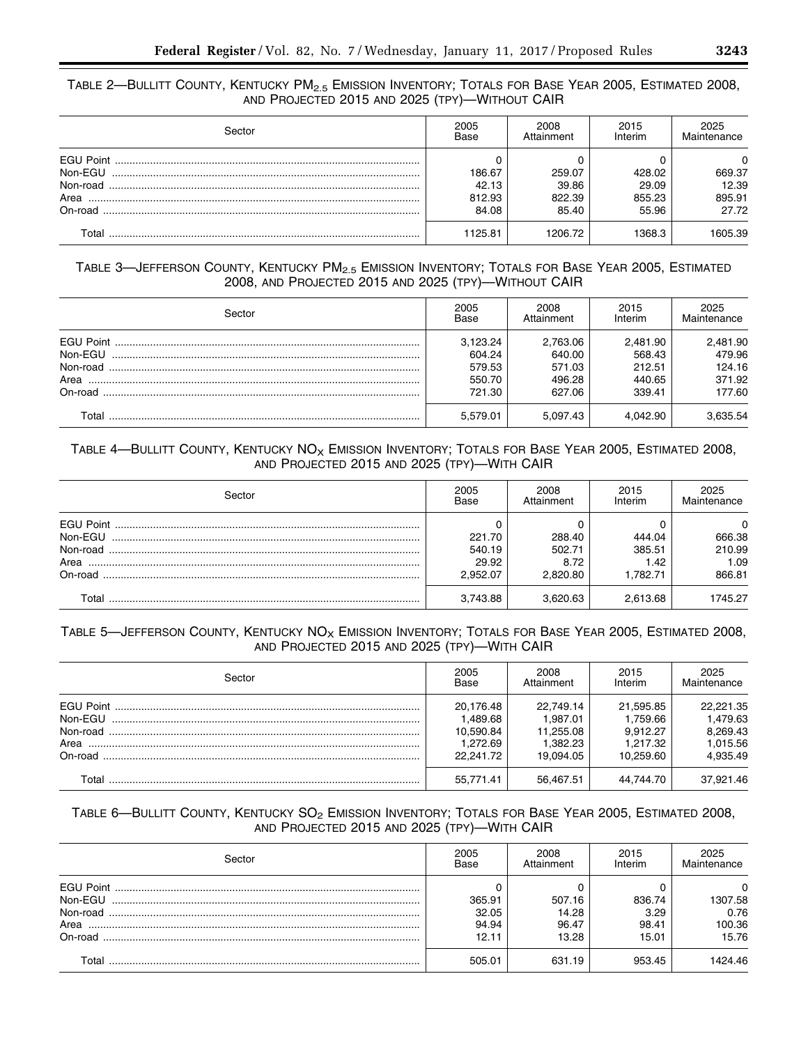# TABLE 2-BULLITT COUNTY, KENTUCKY PM<sub>2.5</sub> EMISSION INVENTORY; TOTALS FOR BASE YEAR 2005, ESTIMATED 2008, AND PROJECTED 2015 AND 2025 (TPY)—WITHOUT CAIR

| Sector   | 2005<br>Base | 2008<br>Attainment | 2015<br>Interim | 2025<br>Maintenance |
|----------|--------------|--------------------|-----------------|---------------------|
|          |              |                    |                 | $\Omega$            |
| Non-EGU  | 186.67       | 259.07             | 428.02          | 669.37              |
| Non-road | 42.13        | 39.86              | 29.09           | 12.39               |
|          | 812.93       | 822.39             | 855.23          | 895.91              |
| On-road  | 84.08        | 85.40              | 55.96           | 27.72               |
| Total    | 1125.81      | 1206.72            | 368.3           | 1605.39             |

# TABLE 3-JEFFERSON COUNTY, KENTUCKY PM<sub>2.5</sub> EMISSION INVENTORY; TOTALS FOR BASE YEAR 2005, ESTIMATED 2008, AND PROJECTED 2015 AND 2025 (TPY)—WITHOUT CAIR

| Sector           | 2005<br>Base | 2008<br>Attainment | 2015<br>Interim | 2025<br>Maintenance |
|------------------|--------------|--------------------|-----------------|---------------------|
| <b>FGU Point</b> | 3.123.24     | 2,763.06           | 2.481.90        | 2,481.90            |
| Non-FGU          | 604.24       | 640.00             | 568.43          | 479.96              |
|                  | 579.53       | 571.03             | 212.51          | 124.16              |
|                  | 550.70       | 496.28             | 440.65          | 371.92              |
|                  | 721.30       | 627.06             | 339.41          | 177.60              |
| Tota             | 5.579.01     | 5,097.43           | 4.042.90        | 635.54              |

# TABLE 4-BULLITT COUNTY, KENTUCKY  $NO_{X}$  EMISSION INVENTORY; TOTALS FOR BASE YEAR 2005, ESTIMATED 2008, AND PROJECTED 2015 AND 2025 (TPY)—WITH CAIR

| Sector                         | 2005<br>Base                          | 2008<br>Attainment                   | 2015<br>Interim                     | 2025<br>Maintenance                     |
|--------------------------------|---------------------------------------|--------------------------------------|-------------------------------------|-----------------------------------------|
| Non-FGU<br>Non-road<br>On-road | 221.70<br>540.19<br>29.92<br>2.952.07 | 288.40<br>502.71<br>8.72<br>2.820.80 | 444.04<br>385.51<br>1.42<br>.782.71 | 0<br>666.38<br>210.99<br>1.09<br>866.81 |
| ™otal                          | 3.743.88                              | 3.620.63                             | 2.613.68                            | 1745.27                                 |

# TABLE 5-JEFFERSON COUNTY, KENTUCKY NO<sub>X</sub> EMISSION INVENTORY; TOTALS FOR BASE YEAR 2005, ESTIMATED 2008, AND PROJECTED 2015 AND 2025 (TPY)—WITH CAIR

| Sector | 2005<br>Base | 2008<br>Attainment | 2015<br>Interim | 2025<br>Maintenance |
|--------|--------------|--------------------|-----------------|---------------------|
|        | 20.176.48    | 22.749.14          | 21.595.85       | 22.221.35           |
|        | 1.489.68     | 1.987.01           | 1.759.66        | 1.479.63            |
|        | 10.590.84    | 11.255.08          | 9.912.27        | 8.269.43            |
|        | 1.272.69     | 1.382.23           | 1.217.32        | 1,015.56            |
|        | 22.241.72    | 19.094.05          | 10.259.60       | 4.935.49            |
| T∩tal  | 55,771.41    | 56,467.51          | 44.744.70       | 37.921.46           |

# TABLE 6-BULLITT COUNTY, KENTUCKY SO<sub>2</sub> EMISSION INVENTORY; TOTALS FOR BASE YEAR 2005, ESTIMATED 2008, AND PROJECTED 2015 AND 2025 (TPY)—WITH CAIR

| Sector                                                     | 2005<br><b>Base</b>               | 2008<br>Attainment                | 2015<br>Interim                  | 2025<br>Maintenance                            |
|------------------------------------------------------------|-----------------------------------|-----------------------------------|----------------------------------|------------------------------------------------|
| <b>EGU Point</b><br>Non-EGU<br>Non-road<br>Area<br>On-road | 365.91<br>32.05<br>94.94<br>12.11 | 507.16<br>14.28<br>96.47<br>13.28 | 836.74<br>3.29<br>98.41<br>15.01 | $\Omega$<br>1307.58<br>0.76<br>100.36<br>15.76 |
| Total                                                      | 505.01                            | 631.19                            | 953.45                           | 1424.46                                        |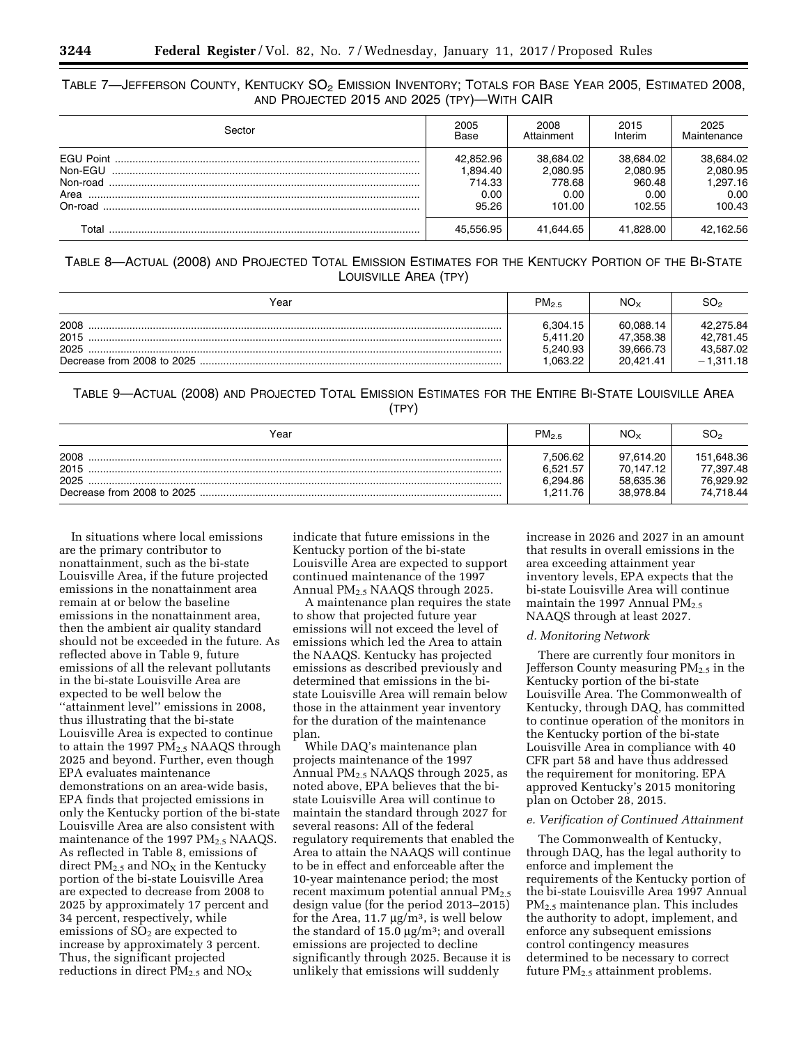TABLE 7—JEFFERSON COUNTY, KENTUCKY  $SO_2$  EMISSION INVENTORY; TOTALS FOR BASE YEAR 2005, ESTIMATED 2008, AND PROJECTED 2015 AND 2025 (TPY)—WITH CAIR

| Sector                                 | 2005<br>Base                                     | 2008<br>Attainment                                | 2015<br>Interim                                   | 2025<br>Maintenance                                 |
|----------------------------------------|--------------------------------------------------|---------------------------------------------------|---------------------------------------------------|-----------------------------------------------------|
| Non-FGU<br>Non-road<br>Area<br>On-road | 42.852.96<br>1.894.40<br>714.33<br>0.00<br>95.26 | 38.684.02<br>2.080.95<br>778.68<br>0.00<br>101.00 | 38.684.02<br>2.080.95<br>960.48<br>0.00<br>102.55 | 38.684.02<br>2.080.95<br>1.297.16<br>0.00<br>100.43 |
| Total                                  | 45.556.95                                        | 41.644.65                                         | 41.828.00                                         | 42,162.56                                           |

TABLE 8—ACTUAL (2008) AND PROJECTED TOTAL EMISSION ESTIMATES FOR THE KENTUCKY PORTION OF THE BI-STATE LOUISVILLE AREA (TPY)

| Year                 | $PM_{2.5}$                                   | NO×                                              | SO。                                                |
|----------------------|----------------------------------------------|--------------------------------------------------|----------------------------------------------------|
| 2008<br>2015<br>2025 | 6.304.15<br>5.411.20<br>5,240.93<br>1.063.22 | 60.088.14<br>47.358.38<br>39.666.73<br>20.421.41 | 42.275.84<br>42.781.45<br>43,587.02<br>$-1.311.18$ |

TABLE 9—ACTUAL (2008) AND PROJECTED TOTAL EMISSION ESTIMATES FOR THE ENTIRE BI-STATE LOUISVILLE AREA (TPY)

| Year                 | PM <sub>2.5</sub>                            | NO <sub>x</sub>                                  | SO2                                               |
|----------------------|----------------------------------------------|--------------------------------------------------|---------------------------------------------------|
| 2008<br>2015<br>2025 | 7.506.62<br>6.521.57<br>6,294.86<br>1.211.76 | 97.614.20<br>70.147.12<br>58.635.36<br>38.978.84 | 151,648.36<br>77.397.48<br>76,929.92<br>74,718.44 |

In situations where local emissions are the primary contributor to nonattainment, such as the bi-state Louisville Area, if the future projected emissions in the nonattainment area remain at or below the baseline emissions in the nonattainment area, then the ambient air quality standard should not be exceeded in the future. As reflected above in Table 9, future emissions of all the relevant pollutants in the bi-state Louisville Area are expected to be well below the ''attainment level'' emissions in 2008, thus illustrating that the bi-state Louisville Area is expected to continue to attain the 1997  $\overline{PM}_{2.5}$  NAAQS through 2025 and beyond. Further, even though EPA evaluates maintenance demonstrations on an area-wide basis, EPA finds that projected emissions in only the Kentucky portion of the bi-state Louisville Area are also consistent with maintenance of the 1997  $PM_{2.5}$  NAAQS. As reflected in Table 8, emissions of direct  $PM_{2.5}$  and  $NO<sub>X</sub>$  in the Kentucky portion of the bi-state Louisville Area are expected to decrease from 2008 to 2025 by approximately 17 percent and 34 percent, respectively, while emissions of  $SO<sub>2</sub>$  are expected to increase by approximately 3 percent. Thus, the significant projected reductions in direct  $PM_{2.5}$  and  $NO_X$ 

indicate that future emissions in the Kentucky portion of the bi-state Louisville Area are expected to support continued maintenance of the 1997 Annual PM2.5 NAAQS through 2025.

A maintenance plan requires the state to show that projected future year emissions will not exceed the level of emissions which led the Area to attain the NAAQS. Kentucky has projected emissions as described previously and determined that emissions in the bistate Louisville Area will remain below those in the attainment year inventory for the duration of the maintenance plan.

While DAQ's maintenance plan projects maintenance of the 1997 Annual PM2.5 NAAQS through 2025, as noted above, EPA believes that the bistate Louisville Area will continue to maintain the standard through 2027 for several reasons: All of the federal regulatory requirements that enabled the Area to attain the NAAQS will continue to be in effect and enforceable after the 10-year maintenance period; the most recent maximum potential annual  $PM_{2.5}$ design value (for the period 2013–2015) for the Area, 11.7  $\mu$ g/m<sup>3</sup>, is well below the standard of 15.0  $\mu$ g/m<sup>3</sup>; and overall emissions are projected to decline significantly through 2025. Because it is unlikely that emissions will suddenly

increase in 2026 and 2027 in an amount that results in overall emissions in the area exceeding attainment year inventory levels, EPA expects that the bi-state Louisville Area will continue maintain the 1997 Annual PM<sub>2.5</sub> NAAQS through at least 2027.

### *d. Monitoring Network*

There are currently four monitors in Jefferson County measuring  $PM<sub>2.5</sub>$  in the Kentucky portion of the bi-state Louisville Area. The Commonwealth of Kentucky, through DAQ, has committed to continue operation of the monitors in the Kentucky portion of the bi-state Louisville Area in compliance with 40 CFR part 58 and have thus addressed the requirement for monitoring. EPA approved Kentucky's 2015 monitoring plan on October 28, 2015.

### *e. Verification of Continued Attainment*

The Commonwealth of Kentucky, through DAQ, has the legal authority to enforce and implement the requirements of the Kentucky portion of the bi-state Louisville Area 1997 Annual PM2.5 maintenance plan. This includes the authority to adopt, implement, and enforce any subsequent emissions control contingency measures determined to be necessary to correct future PM2.5 attainment problems.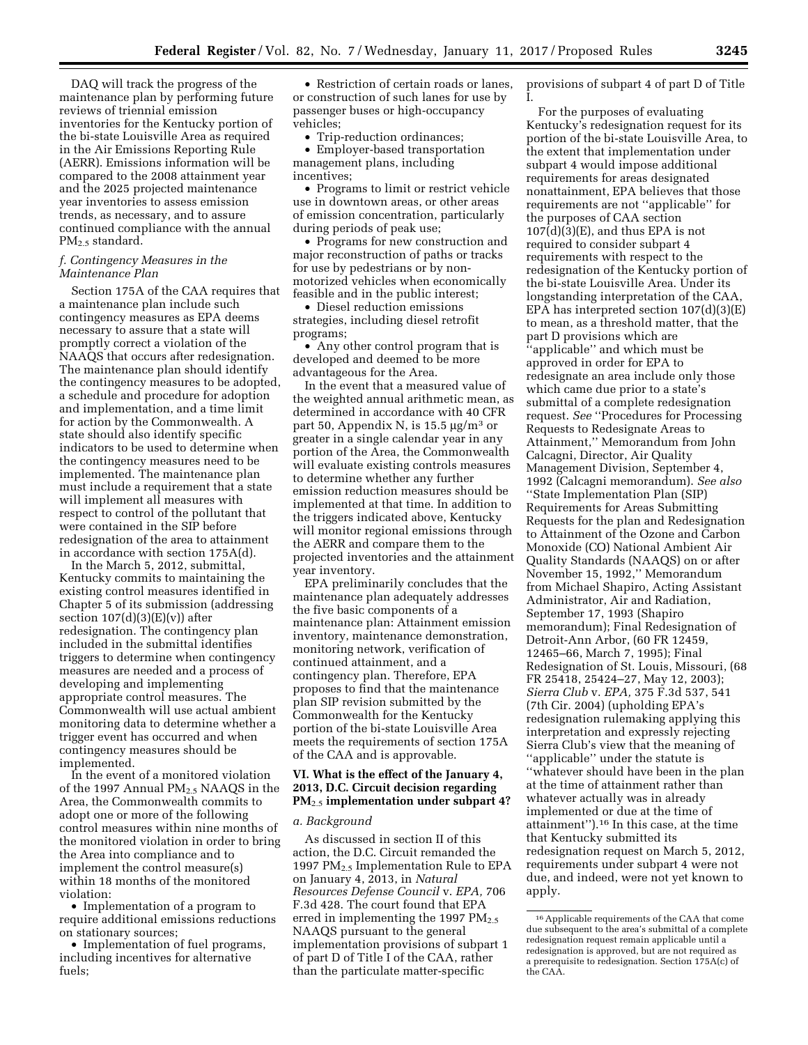DAQ will track the progress of the maintenance plan by performing future reviews of triennial emission inventories for the Kentucky portion of the bi-state Louisville Area as required in the Air Emissions Reporting Rule (AERR). Emissions information will be compared to the 2008 attainment year and the 2025 projected maintenance year inventories to assess emission trends, as necessary, and to assure continued compliance with the annual PM2.5 standard.

## *f. Contingency Measures in the Maintenance Plan*

Section 175A of the CAA requires that a maintenance plan include such contingency measures as EPA deems necessary to assure that a state will promptly correct a violation of the NAAQS that occurs after redesignation. The maintenance plan should identify the contingency measures to be adopted, a schedule and procedure for adoption and implementation, and a time limit for action by the Commonwealth. A state should also identify specific indicators to be used to determine when the contingency measures need to be implemented. The maintenance plan must include a requirement that a state will implement all measures with respect to control of the pollutant that were contained in the SIP before redesignation of the area to attainment in accordance with section 175A(d).

In the March 5, 2012, submittal, Kentucky commits to maintaining the existing control measures identified in Chapter 5 of its submission (addressing section  $107(d)(3)(E)(v)$  after redesignation. The contingency plan included in the submittal identifies triggers to determine when contingency measures are needed and a process of developing and implementing appropriate control measures. The Commonwealth will use actual ambient monitoring data to determine whether a trigger event has occurred and when contingency measures should be implemented.

In the event of a monitored violation of the 1997 Annual PM<sub>2.5</sub> NAAQS in the Area, the Commonwealth commits to adopt one or more of the following control measures within nine months of the monitored violation in order to bring the Area into compliance and to implement the control measure(s) within 18 months of the monitored violation:

• Implementation of a program to require additional emissions reductions on stationary sources;

• Implementation of fuel programs, including incentives for alternative fuels;

• Restriction of certain roads or lanes, or construction of such lanes for use by passenger buses or high-occupancy vehicles;

• Trip-reduction ordinances;

• Employer-based transportation management plans, including incentives;

• Programs to limit or restrict vehicle use in downtown areas, or other areas of emission concentration, particularly during periods of peak use;

• Programs for new construction and major reconstruction of paths or tracks for use by pedestrians or by nonmotorized vehicles when economically feasible and in the public interest;

• Diesel reduction emissions strategies, including diesel retrofit programs;

• Any other control program that is developed and deemed to be more advantageous for the Area.

In the event that a measured value of the weighted annual arithmetic mean, as determined in accordance with 40 CFR part 50, Appendix N, is  $15.5 \text{ µg/m}^3 \text{ or }$ greater in a single calendar year in any portion of the Area, the Commonwealth will evaluate existing controls measures to determine whether any further emission reduction measures should be implemented at that time. In addition to the triggers indicated above, Kentucky will monitor regional emissions through the AERR and compare them to the projected inventories and the attainment year inventory.

EPA preliminarily concludes that the maintenance plan adequately addresses the five basic components of a maintenance plan: Attainment emission inventory, maintenance demonstration, monitoring network, verification of continued attainment, and a contingency plan. Therefore, EPA proposes to find that the maintenance plan SIP revision submitted by the Commonwealth for the Kentucky portion of the bi-state Louisville Area meets the requirements of section 175A of the CAA and is approvable.

## **VI. What is the effect of the January 4, 2013, D.C. Circuit decision regarding PM**2.5 **implementation under subpart 4?**

#### *a. Background*

As discussed in section II of this action, the D.C. Circuit remanded the 1997  $PM_{2.5}$  Implementation Rule to EPA on January 4, 2013, in *Natural Resources Defense Council* v. *EPA,* 706 F.3d 428. The court found that EPA erred in implementing the 1997  $PM_{2.5}$ NAAQS pursuant to the general implementation provisions of subpart 1 of part D of Title I of the CAA, rather than the particulate matter-specific

provisions of subpart 4 of part D of Title I.

For the purposes of evaluating Kentucky's redesignation request for its portion of the bi-state Louisville Area, to the extent that implementation under subpart 4 would impose additional requirements for areas designated nonattainment, EPA believes that those requirements are not ''applicable'' for the purposes of CAA section  $107(d)(3)(E)$ , and thus EPA is not required to consider subpart 4 requirements with respect to the redesignation of the Kentucky portion of the bi-state Louisville Area. Under its longstanding interpretation of the CAA, EPA has interpreted section  $107(d)(3)(E)$ to mean, as a threshold matter, that the part D provisions which are ''applicable'' and which must be approved in order for EPA to redesignate an area include only those which came due prior to a state's submittal of a complete redesignation request. *See* ''Procedures for Processing Requests to Redesignate Areas to Attainment,'' Memorandum from John Calcagni, Director, Air Quality Management Division, September 4, 1992 (Calcagni memorandum). *See also*  ''State Implementation Plan (SIP) Requirements for Areas Submitting Requests for the plan and Redesignation to Attainment of the Ozone and Carbon Monoxide (CO) National Ambient Air Quality Standards (NAAQS) on or after November 15, 1992,'' Memorandum from Michael Shapiro, Acting Assistant Administrator, Air and Radiation, September 17, 1993 (Shapiro memorandum); Final Redesignation of Detroit-Ann Arbor, (60 FR 12459, 12465–66, March 7, 1995); Final Redesignation of St. Louis, Missouri, (68 FR 25418, 25424–27, May 12, 2003); *Sierra Club* v. *EPA,* 375 F.3d 537, 541 (7th Cir. 2004) (upholding EPA's redesignation rulemaking applying this interpretation and expressly rejecting Sierra Club's view that the meaning of ''applicable'' under the statute is ''whatever should have been in the plan at the time of attainment rather than whatever actually was in already implemented or due at the time of attainment'').16 In this case, at the time that Kentucky submitted its redesignation request on March 5, 2012, requirements under subpart 4 were not due, and indeed, were not yet known to apply.

<sup>16</sup>Applicable requirements of the CAA that come due subsequent to the area's submittal of a complete redesignation request remain applicable until a redesignation is approved, but are not required as a prerequisite to redesignation. Section 175A(c) of the CAA.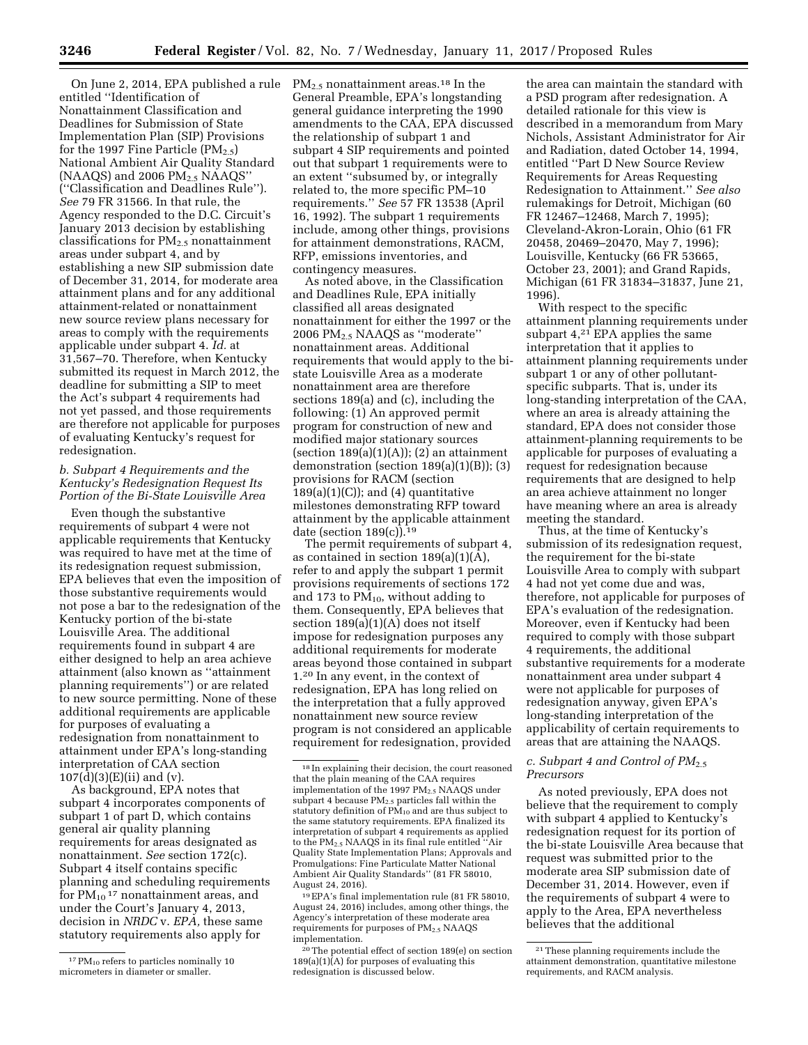On June 2, 2014, EPA published a rule entitled ''Identification of Nonattainment Classification and Deadlines for Submission of State Implementation Plan (SIP) Provisions for the 1997 Fine Particle  $(PM_{2.5})$ National Ambient Air Quality Standard (NAAQS) and 2006  $PM<sub>2.5</sub> NAAQS'$ (''Classification and Deadlines Rule''). *See* 79 FR 31566. In that rule, the Agency responded to the D.C. Circuit's January 2013 decision by establishing classifications for  $PM_{2,5}$  nonattainment areas under subpart 4, and by establishing a new SIP submission date of December 31, 2014, for moderate area attainment plans and for any additional attainment-related or nonattainment new source review plans necessary for areas to comply with the requirements applicable under subpart 4. *Id.* at 31,567–70. Therefore, when Kentucky submitted its request in March 2012, the deadline for submitting a SIP to meet the Act's subpart 4 requirements had not yet passed, and those requirements are therefore not applicable for purposes of evaluating Kentucky's request for redesignation.

## *b. Subpart 4 Requirements and the Kentucky's Redesignation Request Its Portion of the Bi-State Louisville Area*

Even though the substantive requirements of subpart 4 were not applicable requirements that Kentucky was required to have met at the time of its redesignation request submission, EPA believes that even the imposition of those substantive requirements would not pose a bar to the redesignation of the Kentucky portion of the bi-state Louisville Area. The additional requirements found in subpart 4 are either designed to help an area achieve attainment (also known as ''attainment planning requirements'') or are related to new source permitting. None of these additional requirements are applicable for purposes of evaluating a redesignation from nonattainment to attainment under EPA's long-standing interpretation of CAA section  $107(\bar{d})(3)$ (E)(ii) and (v).

As background, EPA notes that subpart 4 incorporates components of subpart 1 of part D, which contains general air quality planning requirements for areas designated as nonattainment. *See* section 172(c). Subpart 4 itself contains specific planning and scheduling requirements for  $PM_{10}$ <sup>17</sup> nonattainment areas, and under the Court's January 4, 2013, decision in *NRDC* v. *EPA,* these same statutory requirements also apply for

 $PM_{2.5}$  nonattainment areas.<sup>18</sup> In the General Preamble, EPA's longstanding general guidance interpreting the 1990 amendments to the CAA, EPA discussed the relationship of subpart 1 and subpart 4 SIP requirements and pointed out that subpart 1 requirements were to an extent ''subsumed by, or integrally related to, the more specific PM–10 requirements.'' *See* 57 FR 13538 (April 16, 1992). The subpart 1 requirements include, among other things, provisions for attainment demonstrations, RACM, RFP, emissions inventories, and contingency measures.

As noted above, in the Classification and Deadlines Rule, EPA initially classified all areas designated nonattainment for either the 1997 or the 2006 PM2.5 NAAQS as ''moderate'' nonattainment areas. Additional requirements that would apply to the bistate Louisville Area as a moderate nonattainment area are therefore sections 189(a) and (c), including the following: (1) An approved permit program for construction of new and modified major stationary sources (section  $189(a)(1)(A)$ ); (2) an attainment demonstration (section  $189(a)(1)(B)$ ); (3) provisions for RACM (section  $189(a)(1)(C)$ ; and  $(4)$  quantitative milestones demonstrating RFP toward attainment by the applicable attainment date (section  $189(c)$ ).<sup>19</sup>

The permit requirements of subpart 4, as contained in section 189(a)(1)(A), refer to and apply the subpart 1 permit provisions requirements of sections 172 and 173 to  $PM_{10}$ , without adding to them. Consequently, EPA believes that section 189(a)(1)(A) does not itself impose for redesignation purposes any additional requirements for moderate areas beyond those contained in subpart 1.20 In any event, in the context of redesignation, EPA has long relied on the interpretation that a fully approved nonattainment new source review program is not considered an applicable requirement for redesignation, provided

19EPA's final implementation rule (81 FR 58010, August 24, 2016) includes, among other things, the Agency's interpretation of these moderate area requirements for purposes of PM<sub>2.5</sub> NAAQS implementation.

20The potential effect of section 189(e) on section  $189(a)(1)(A)$  for purposes of evaluating this redesignation is discussed below.

the area can maintain the standard with a PSD program after redesignation. A detailed rationale for this view is described in a memorandum from Mary Nichols, Assistant Administrator for Air and Radiation, dated October 14, 1994, entitled ''Part D New Source Review Requirements for Areas Requesting Redesignation to Attainment.'' *See also*  rulemakings for Detroit, Michigan (60 FR 12467–12468, March 7, 1995); Cleveland-Akron-Lorain, Ohio (61 FR 20458, 20469–20470, May 7, 1996); Louisville, Kentucky (66 FR 53665, October 23, 2001); and Grand Rapids, Michigan (61 FR 31834–31837, June 21, 1996).

With respect to the specific attainment planning requirements under subpart  $4<sup>21</sup>$  EPA applies the same interpretation that it applies to attainment planning requirements under subpart 1 or any of other pollutantspecific subparts. That is, under its long-standing interpretation of the CAA, where an area is already attaining the standard, EPA does not consider those attainment-planning requirements to be applicable for purposes of evaluating a request for redesignation because requirements that are designed to help an area achieve attainment no longer have meaning where an area is already meeting the standard.

Thus, at the time of Kentucky's submission of its redesignation request, the requirement for the bi-state Louisville Area to comply with subpart 4 had not yet come due and was, therefore, not applicable for purposes of EPA's evaluation of the redesignation. Moreover, even if Kentucky had been required to comply with those subpart 4 requirements, the additional substantive requirements for a moderate nonattainment area under subpart 4 were not applicable for purposes of redesignation anyway, given EPA's long-standing interpretation of the applicability of certain requirements to areas that are attaining the NAAQS.

## *c. Subpart 4 and Control of PM*2.5 *Precursors*

As noted previously, EPA does not believe that the requirement to comply with subpart 4 applied to Kentucky's redesignation request for its portion of the bi-state Louisville Area because that request was submitted prior to the moderate area SIP submission date of December 31, 2014. However, even if the requirements of subpart 4 were to apply to the Area, EPA nevertheless believes that the additional

<sup>&</sup>lt;sup>17</sup> PM<sub>10</sub> refers to particles nominally 10 micrometers in diameter or smaller.

<sup>18</sup> In explaining their decision, the court reasoned that the plain meaning of the CAA requires implementation of the 1997  $PM_{2.5}$  NAAQS under subpart 4 because PM<sub>2.5</sub> particles fall within the statutory definition of  $\tilde{PM}_{10}$  and are thus subject to the same statutory requirements. EPA finalized its interpretation of subpart 4 requirements as applied to the PM2.5 NAAQS in its final rule entitled ''Air Quality State Implementation Plans; Approvals and Promulgations: Fine Particulate Matter National Ambient Air Quality Standards'' (81 FR 58010, August 24, 2016).

<sup>21</sup>These planning requirements include the attainment demonstration, quantitative milestone requirements, and RACM analysis.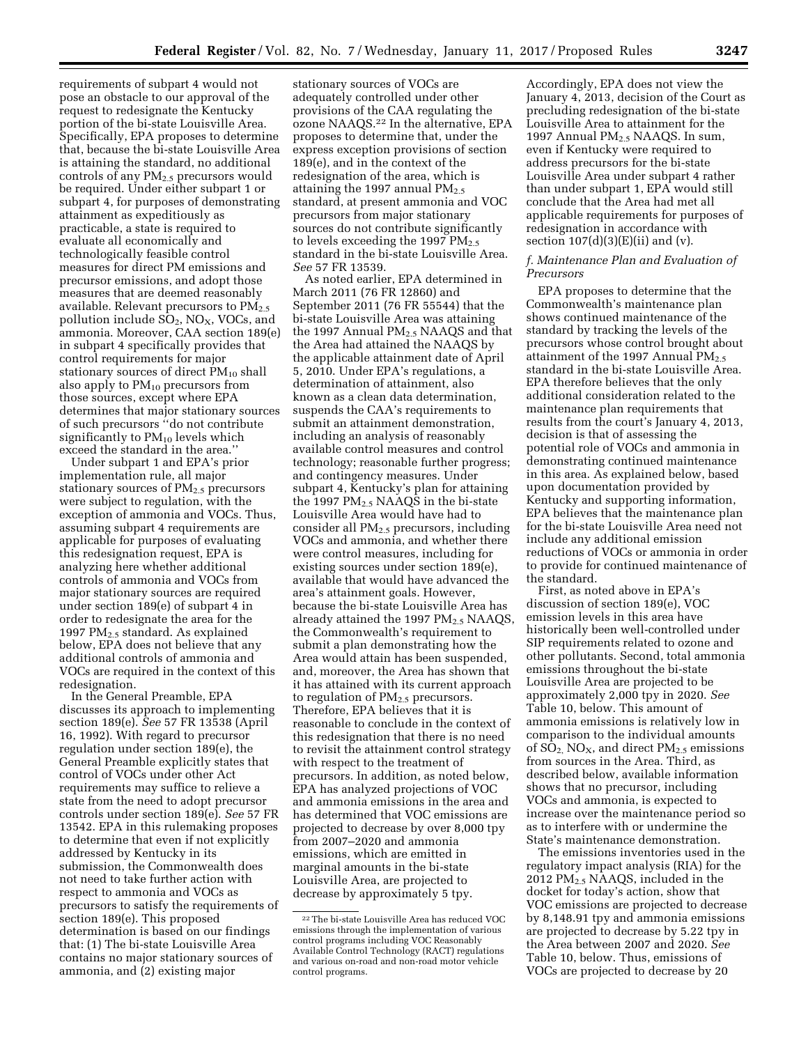requirements of subpart 4 would not pose an obstacle to our approval of the request to redesignate the Kentucky portion of the bi-state Louisville Area. Specifically, EPA proposes to determine that, because the bi-state Louisville Area is attaining the standard, no additional controls of any PM2.5 precursors would be required. Under either subpart 1 or subpart 4, for purposes of demonstrating attainment as expeditiously as practicable, a state is required to evaluate all economically and technologically feasible control measures for direct PM emissions and precursor emissions, and adopt those measures that are deemed reasonably available. Relevant precursors to  $PM_{2.5}$ pollution include  $SO_2$ , NO<sub>X</sub>, VOCs, and ammonia. Moreover, CAA section 189(e) in subpart 4 specifically provides that control requirements for major stationary sources of direct  $PM_{10}$  shall also apply to  $PM_{10}$  precursors from those sources, except where EPA determines that major stationary sources of such precursors ''do not contribute significantly to  $PM_{10}$  levels which exceed the standard in the area.''

Under subpart 1 and EPA's prior implementation rule, all major stationary sources of PM<sub>2.5</sub> precursors were subject to regulation, with the exception of ammonia and VOCs. Thus, assuming subpart 4 requirements are applicable for purposes of evaluating this redesignation request, EPA is analyzing here whether additional controls of ammonia and VOCs from major stationary sources are required under section 189(e) of subpart 4 in order to redesignate the area for the 1997 PM2.5 standard. As explained below, EPA does not believe that any additional controls of ammonia and VOCs are required in the context of this redesignation.

In the General Preamble, EPA discusses its approach to implementing section 189(e). *See* 57 FR 13538 (April 16, 1992). With regard to precursor regulation under section 189(e), the General Preamble explicitly states that control of VOCs under other Act requirements may suffice to relieve a state from the need to adopt precursor controls under section 189(e). *See* 57 FR 13542. EPA in this rulemaking proposes to determine that even if not explicitly addressed by Kentucky in its submission, the Commonwealth does not need to take further action with respect to ammonia and VOCs as precursors to satisfy the requirements of section 189(e). This proposed determination is based on our findings that: (1) The bi-state Louisville Area contains no major stationary sources of ammonia, and (2) existing major

stationary sources of VOCs are adequately controlled under other provisions of the CAA regulating the ozone NAAQS.22 In the alternative, EPA proposes to determine that, under the express exception provisions of section 189(e), and in the context of the redesignation of the area, which is attaining the 1997 annual  $PM_{2.5}$ standard, at present ammonia and VOC precursors from major stationary sources do not contribute significantly to levels exceeding the 1997  $PM_{2.5}$ standard in the bi-state Louisville Area. *See* 57 FR 13539.

As noted earlier, EPA determined in March 2011 (76 FR 12860) and September 2011 (76 FR 55544) that the bi-state Louisville Area was attaining the 1997 Annual  $PM<sub>2.5</sub> NAAQS$  and that the Area had attained the NAAQS by the applicable attainment date of April 5, 2010. Under EPA's regulations, a determination of attainment, also known as a clean data determination, suspends the CAA's requirements to submit an attainment demonstration, including an analysis of reasonably available control measures and control technology; reasonable further progress; and contingency measures. Under subpart 4, Kentucky's plan for attaining the 1997 PM2.5 NAAQS in the bi-state Louisville Area would have had to consider all PM2.5 precursors, including VOCs and ammonia, and whether there were control measures, including for existing sources under section 189(e), available that would have advanced the area's attainment goals. However, because the bi-state Louisville Area has already attained the 1997  $PM_{2.5}$  NAAQS, the Commonwealth's requirement to submit a plan demonstrating how the Area would attain has been suspended, and, moreover, the Area has shown that it has attained with its current approach to regulation of  $PM<sub>2.5</sub>$  precursors. Therefore, EPA believes that it is reasonable to conclude in the context of this redesignation that there is no need to revisit the attainment control strategy with respect to the treatment of precursors. In addition, as noted below, EPA has analyzed projections of VOC and ammonia emissions in the area and has determined that VOC emissions are projected to decrease by over 8,000 tpy from 2007–2020 and ammonia emissions, which are emitted in marginal amounts in the bi-state Louisville Area, are projected to decrease by approximately 5 tpy.

Accordingly, EPA does not view the January 4, 2013, decision of the Court as precluding redesignation of the bi-state Louisville Area to attainment for the 1997 Annual PM<sub>2.5</sub> NAAQS. In sum, even if Kentucky were required to address precursors for the bi-state Louisville Area under subpart 4 rather than under subpart 1, EPA would still conclude that the Area had met all applicable requirements for purposes of redesignation in accordance with section  $107(d)(3)(E)(ii)$  and  $(v)$ .

## *f. Maintenance Plan and Evaluation of Precursors*

EPA proposes to determine that the Commonwealth's maintenance plan shows continued maintenance of the standard by tracking the levels of the precursors whose control brought about attainment of the 1997 Annual PM<sub>2.5</sub> standard in the bi-state Louisville Area. EPA therefore believes that the only additional consideration related to the maintenance plan requirements that results from the court's January 4, 2013, decision is that of assessing the potential role of VOCs and ammonia in demonstrating continued maintenance in this area. As explained below, based upon documentation provided by Kentucky and supporting information, EPA believes that the maintenance plan for the bi-state Louisville Area need not include any additional emission reductions of VOCs or ammonia in order to provide for continued maintenance of the standard.

First, as noted above in EPA's discussion of section 189(e), VOC emission levels in this area have historically been well-controlled under SIP requirements related to ozone and other pollutants. Second, total ammonia emissions throughout the bi-state Louisville Area are projected to be approximately 2,000 tpy in 2020. *See*  Table 10, below. This amount of ammonia emissions is relatively low in comparison to the individual amounts of  $SO_2$ ,  $NO_X$ , and direct  $PM_{2.5}$  emissions from sources in the Area. Third, as described below, available information shows that no precursor, including VOCs and ammonia, is expected to increase over the maintenance period so as to interfere with or undermine the State's maintenance demonstration.

The emissions inventories used in the regulatory impact analysis (RIA) for the 2012 PM2.5 NAAQS, included in the docket for today's action, show that VOC emissions are projected to decrease by 8,148.91 tpy and ammonia emissions are projected to decrease by 5.22 tpy in the Area between 2007 and 2020. *See*  Table 10, below. Thus, emissions of VOCs are projected to decrease by 20

<sup>22</sup>The bi-state Louisville Area has reduced VOC emissions through the implementation of various control programs including VOC Reasonably Available Control Technology (RACT) regulations and various on-road and non-road motor vehicle control programs.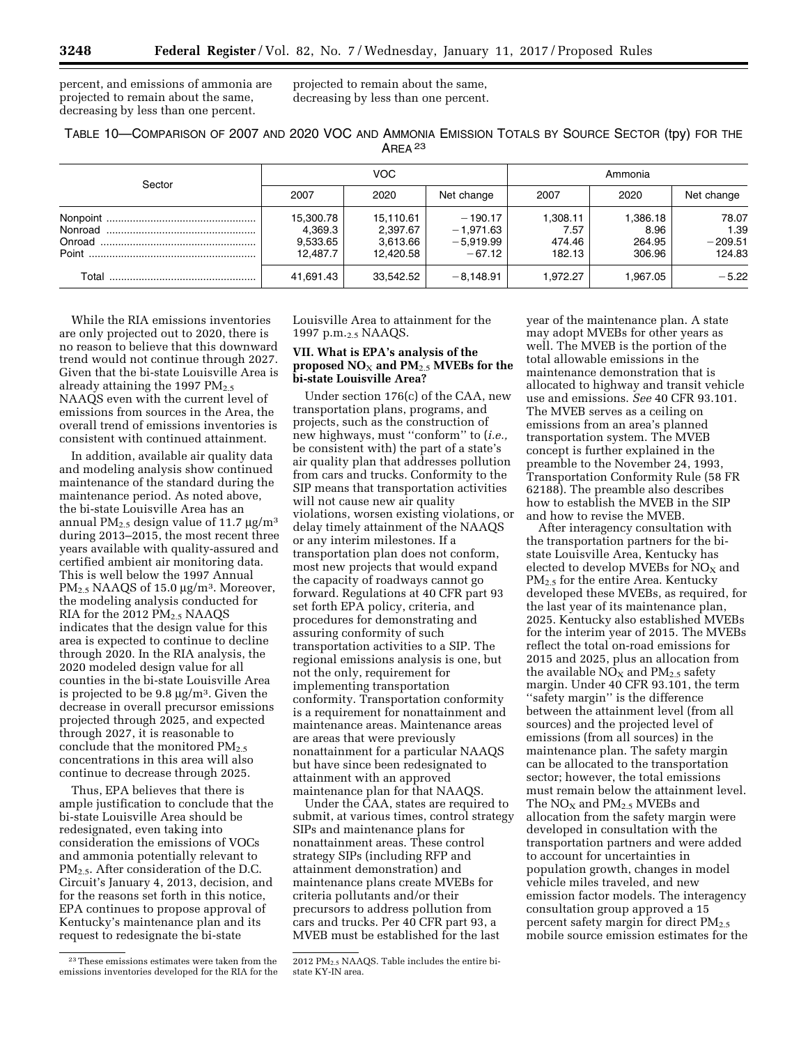percent, and emissions of ammonia are projected to remain about the same, decreasing by less than one percent.

projected to remain about the same, decreasing by less than one percent.

| TABLE 10-COMPARISON OF 2007 AND 2020 VOC AND AMMONIA EMISSION TOTALS BY SOURCE SECTOR (tpy) FOR THE |  |                    |  |  |  |
|-----------------------------------------------------------------------------------------------------|--|--------------------|--|--|--|
|                                                                                                     |  | AREA <sup>23</sup> |  |  |  |

| Sector |                                              | VOC.                                           |                                                     | Ammonia                              |                                      |                                      |  |
|--------|----------------------------------------------|------------------------------------------------|-----------------------------------------------------|--------------------------------------|--------------------------------------|--------------------------------------|--|
|        | 2007                                         | 2020                                           | Net change                                          | 2007                                 | 2020                                 | Net change                           |  |
|        | 15,300.78<br>4,369.3<br>9,533.65<br>12.487.7 | 15,110.61<br>2,397.67<br>3,613.66<br>12.420.58 | $-190.17$<br>$-1,971.63$<br>$-5,919.99$<br>$-67.12$ | 1,308.11<br>7.57<br>474.46<br>182.13 | 1,386.18<br>8.96<br>264.95<br>306.96 | 78.07<br>1.39<br>$-209.51$<br>124.83 |  |
|        | 41,691.43                                    | 33,542.52                                      | $-8,148.91$                                         | 1.972.27                             | 1.967.05                             | $-5.22$                              |  |

While the RIA emissions inventories are only projected out to 2020, there is no reason to believe that this downward trend would not continue through 2027. Given that the bi-state Louisville Area is already attaining the 1997  $PM_{2.5}$ NAAQS even with the current level of emissions from sources in the Area, the overall trend of emissions inventories is consistent with continued attainment.

In addition, available air quality data and modeling analysis show continued maintenance of the standard during the maintenance period. As noted above, the bi-state Louisville Area has an annual PM<sub>2.5</sub> design value of 11.7  $\mu$ g/m<sup>3</sup> during 2013–2015, the most recent three years available with quality-assured and certified ambient air monitoring data. This is well below the 1997 Annual  $PM_{2.5}$  NAAQS of 15.0  $\mu$ g/m<sup>3</sup>. Moreover, the modeling analysis conducted for RIA for the 2012 PM<sub>2.5</sub> NAAQS indicates that the design value for this area is expected to continue to decline through 2020. In the RIA analysis, the 2020 modeled design value for all counties in the bi-state Louisville Area is projected to be  $9.8 \mu g/m^3$ . Given the decrease in overall precursor emissions projected through 2025, and expected through 2027, it is reasonable to conclude that the monitored  $PM<sub>2.5</sub>$ concentrations in this area will also continue to decrease through 2025.

Thus, EPA believes that there is ample justification to conclude that the bi-state Louisville Area should be redesignated, even taking into consideration the emissions of VOCs and ammonia potentially relevant to  $PM_{2.5}$ . After consideration of the D.C. Circuit's January 4, 2013, decision, and for the reasons set forth in this notice, EPA continues to propose approval of Kentucky's maintenance plan and its request to redesignate the bi-state

Louisville Area to attainment for the 1997 p.m.2.5 NAAQS.

## **VII. What is EPA's analysis of the proposed**  $NO_x$  **and**  $PM_2$ **.5 MVEBs for the bi-state Louisville Area?**

Under section 176(c) of the CAA, new transportation plans, programs, and projects, such as the construction of new highways, must ''conform'' to (*i.e.,*  be consistent with) the part of a state's air quality plan that addresses pollution from cars and trucks. Conformity to the SIP means that transportation activities will not cause new air quality violations, worsen existing violations, or delay timely attainment of the NAAQS or any interim milestones. If a transportation plan does not conform, most new projects that would expand the capacity of roadways cannot go forward. Regulations at 40 CFR part 93 set forth EPA policy, criteria, and procedures for demonstrating and assuring conformity of such transportation activities to a SIP. The regional emissions analysis is one, but not the only, requirement for implementing transportation conformity. Transportation conformity is a requirement for nonattainment and maintenance areas. Maintenance areas are areas that were previously nonattainment for a particular NAAQS but have since been redesignated to attainment with an approved maintenance plan for that NAAQS.

Under the CAA, states are required to submit, at various times, control strategy SIPs and maintenance plans for nonattainment areas. These control strategy SIPs (including RFP and attainment demonstration) and maintenance plans create MVEBs for criteria pollutants and/or their precursors to address pollution from cars and trucks. Per 40 CFR part 93, a MVEB must be established for the last

year of the maintenance plan. A state may adopt MVEBs for other years as well. The MVEB is the portion of the total allowable emissions in the maintenance demonstration that is allocated to highway and transit vehicle use and emissions. *See* 40 CFR 93.101. The MVEB serves as a ceiling on emissions from an area's planned transportation system. The MVEB concept is further explained in the preamble to the November 24, 1993, Transportation Conformity Rule (58 FR 62188). The preamble also describes how to establish the MVEB in the SIP and how to revise the MVEB.

After interagency consultation with the transportation partners for the bistate Louisville Area, Kentucky has elected to develop MVEBs for  $NO<sub>X</sub>$  and PM<sub>2.5</sub> for the entire Area. Kentucky developed these MVEBs, as required, for the last year of its maintenance plan, 2025. Kentucky also established MVEBs for the interim year of 2015. The MVEBs reflect the total on-road emissions for 2015 and 2025, plus an allocation from the available  $NO<sub>x</sub>$  and  $PM<sub>2.5</sub>$  safety margin. Under 40 CFR 93.101, the term ''safety margin'' is the difference between the attainment level (from all sources) and the projected level of emissions (from all sources) in the maintenance plan. The safety margin can be allocated to the transportation sector; however, the total emissions must remain below the attainment level. The  $NO<sub>X</sub>$  and  $PM<sub>2.5</sub>$  MVEBs and allocation from the safety margin were developed in consultation with the transportation partners and were added to account for uncertainties in population growth, changes in model vehicle miles traveled, and new emission factor models. The interagency consultation group approved a 15 percent safety margin for direct  $PM_{2.5}$ mobile source emission estimates for the

<sup>23</sup>These emissions estimates were taken from the emissions inventories developed for the RIA for the

<sup>2012</sup> PM2.5 NAAQS. Table includes the entire bistate KY-IN area.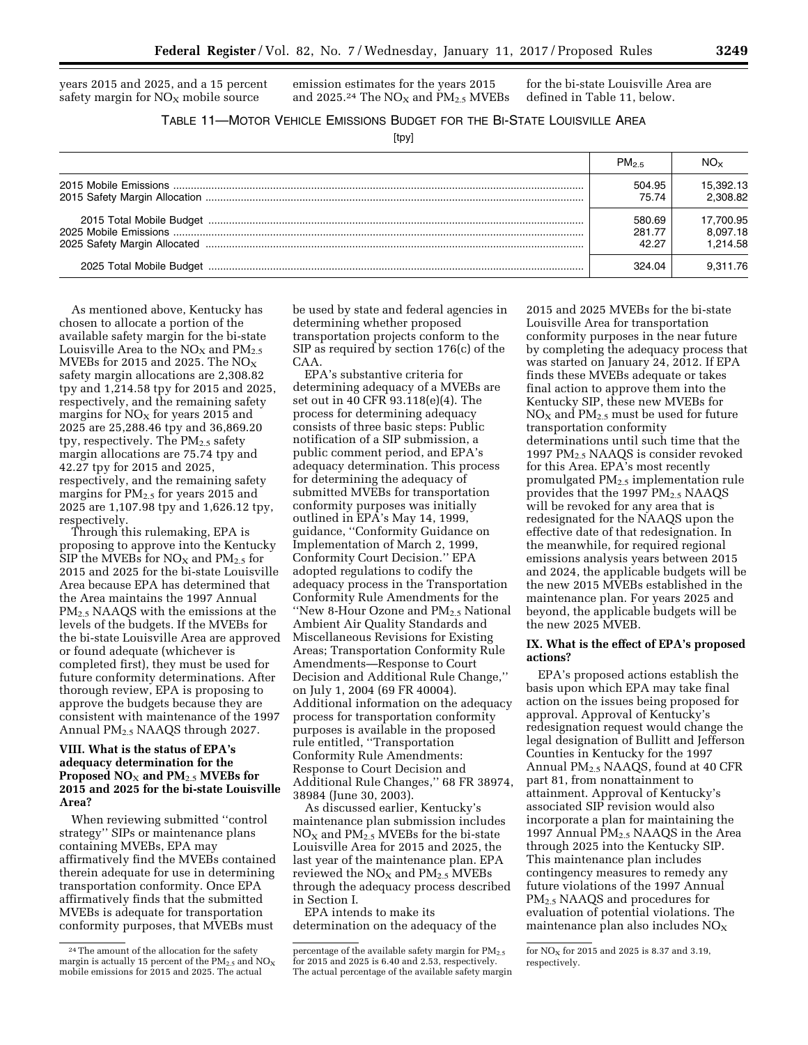years 2015 and 2025, and a 15 percent safety margin for  $NO<sub>x</sub>$  mobile source

emission estimates for the years 2015 and 2025.<sup>24</sup> The  $NO<sub>X</sub>$  and  $PM<sub>2.5</sub>$  MVEBs for the bi-state Louisville Area are defined in Table 11, below.

TABLE 11—MOTOR VEHICLE EMISSIONS BUDGET FOR THE BI-STATE LOUISVILLE AREA

[tpy]

| $PM_{2.5}$ | NO <sub>x</sub> |
|------------|-----------------|
| 504.95     | 15.392.13       |
| 75.74      | 2.308.82        |
| 580.69     | 17.700.95       |
| 281.77     | 8.097.18        |
| 42.27      | 1.214.58        |
| 324.04     |                 |

As mentioned above, Kentucky has chosen to allocate a portion of the available safety margin for the bi-state Louisville Area to the  $NO<sub>X</sub>$  and  $PM<sub>2.5</sub>$ MVEBs for 2015 and 2025. The  $NO<sub>x</sub>$ safety margin allocations are 2,308.82 tpy and 1,214.58 tpy for 2015 and 2025, respectively, and the remaining safety margins for  $NO<sub>x</sub>$  for years 2015 and 2025 are 25,288.46 tpy and 36,869.20 tpy, respectively. The  $PM_{2.5}$  safety margin allocations are 75.74 tpy and 42.27 tpy for 2015 and 2025, respectively, and the remaining safety margins for  $PM<sub>2.5</sub>$  for years 2015 and 2025 are 1,107.98 tpy and 1,626.12 tpy, respectively.

Through this rulemaking, EPA is proposing to approve into the Kentucky SIP the MVEBs for  $NO<sub>X</sub>$  and  $PM<sub>2.5</sub>$  for 2015 and 2025 for the bi-state Louisville Area because EPA has determined that the Area maintains the 1997 Annual PM2.5 NAAQS with the emissions at the levels of the budgets. If the MVEBs for the bi-state Louisville Area are approved or found adequate (whichever is completed first), they must be used for future conformity determinations. After thorough review, EPA is proposing to approve the budgets because they are consistent with maintenance of the 1997 Annual PM2.5 NAAQS through 2027.

### **VIII. What is the status of EPA's adequacy determination for the Proposed NO**X **and PM**2.5 **MVEBs for 2015 and 2025 for the bi-state Louisville Area?**

When reviewing submitted ''control strategy'' SIPs or maintenance plans containing MVEBs, EPA may affirmatively find the MVEBs contained therein adequate for use in determining transportation conformity. Once EPA affirmatively finds that the submitted MVEBs is adequate for transportation conformity purposes, that MVEBs must

be used by state and federal agencies in determining whether proposed transportation projects conform to the SIP as required by section 176(c) of the CAA.

EPA's substantive criteria for determining adequacy of a MVEBs are set out in 40 CFR 93.118(e)(4). The process for determining adequacy consists of three basic steps: Public notification of a SIP submission, a public comment period, and EPA's adequacy determination. This process for determining the adequacy of submitted MVEBs for transportation conformity purposes was initially outlined in EPA's May 14, 1999, guidance, ''Conformity Guidance on Implementation of March 2, 1999, Conformity Court Decision.'' EPA adopted regulations to codify the adequacy process in the Transportation Conformity Rule Amendments for the ''New 8-Hour Ozone and PM2.5 National Ambient Air Quality Standards and Miscellaneous Revisions for Existing Areas; Transportation Conformity Rule Amendments—Response to Court Decision and Additional Rule Change,'' on July 1, 2004 (69 FR 40004). Additional information on the adequacy process for transportation conformity purposes is available in the proposed rule entitled, ''Transportation Conformity Rule Amendments: Response to Court Decision and Additional Rule Changes,'' 68 FR 38974, 38984 (June 30, 2003).

As discussed earlier, Kentucky's maintenance plan submission includes  $NO<sub>X</sub>$  and  $PM<sub>2.5</sub>$  MVEBs for the bi-state Louisville Area for 2015 and 2025, the last year of the maintenance plan. EPA reviewed the  $NO<sub>x</sub>$  and  $PM<sub>2.5</sub>$  MVEBs through the adequacy process described in Section I.

EPA intends to make its determination on the adequacy of the

2015 and 2025 MVEBs for the bi-state Louisville Area for transportation conformity purposes in the near future by completing the adequacy process that was started on January 24, 2012. If EPA finds these MVEBs adequate or takes final action to approve them into the Kentucky SIP, these new MVEBs for  $NO<sub>X</sub>$  and  $PM<sub>2.5</sub>$  must be used for future transportation conformity determinations until such time that the 1997 PM2.5 NAAQS is consider revoked for this Area. EPA's most recently promulgated PM2.5 implementation rule provides that the 1997  $PM_{2.5}$  NAAQS will be revoked for any area that is redesignated for the NAAQS upon the effective date of that redesignation. In the meanwhile, for required regional emissions analysis years between 2015 and 2024, the applicable budgets will be the new 2015 MVEBs established in the maintenance plan. For years 2025 and beyond, the applicable budgets will be the new 2025 MVEB.

## **IX. What is the effect of EPA's proposed actions?**

EPA's proposed actions establish the basis upon which EPA may take final action on the issues being proposed for approval. Approval of Kentucky's redesignation request would change the legal designation of Bullitt and Jefferson Counties in Kentucky for the 1997 Annual PM2.5 NAAQS, found at 40 CFR part 81, from nonattainment to attainment. Approval of Kentucky's associated SIP revision would also incorporate a plan for maintaining the 1997 Annual PM<sub>2.5</sub> NAAQS in the Area through 2025 into the Kentucky SIP. This maintenance plan includes contingency measures to remedy any future violations of the 1997 Annual PM2.5 NAAQS and procedures for evaluation of potential violations. The maintenance plan also includes  $NO<sub>x</sub>$ 

<sup>24</sup>The amount of the allocation for the safety margin is actually 15 percent of the  $PM_{2.5}$  and  $NO_X$ mobile emissions for 2015 and 2025. The actual

percentage of the available safety margin for  $PM_{2.5}$ for 2015 and 2025 is 6.40 and 2.53, respectively. The actual percentage of the available safety margin

for  $NO<sub>x</sub>$  for 2015 and 2025 is 8.37 and 3.19, respectively.